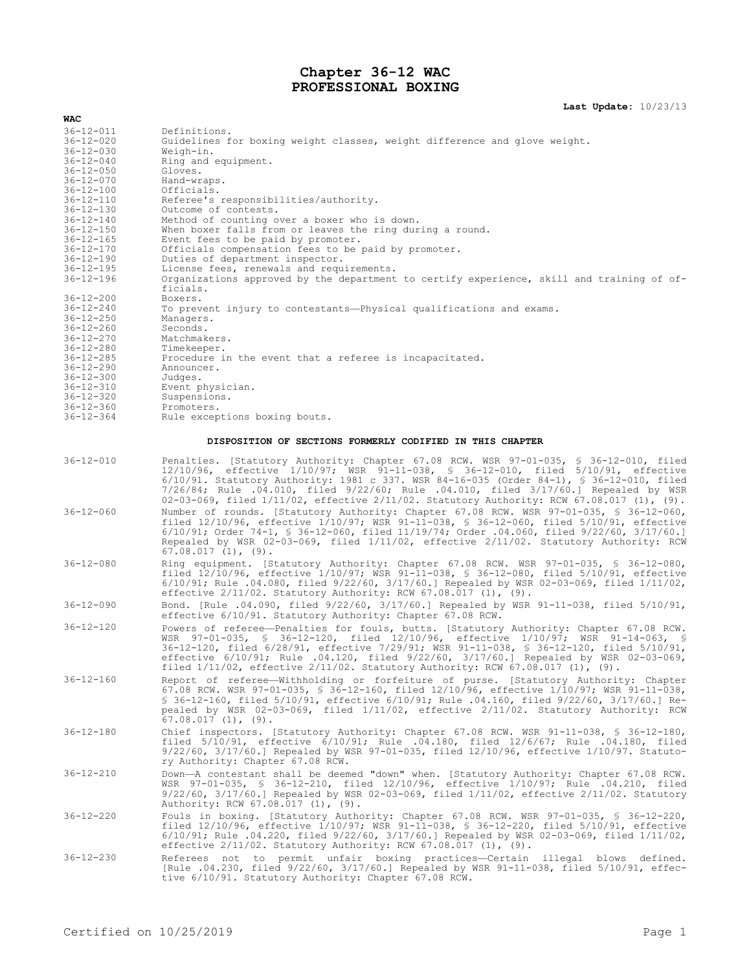## **Chapter 36-12 WAC PROFESSIONAL BOXING**

## **Last Update:** 10/23/13

| WAC                                |                                                                                                                                                                                                                                                                                                                                                                                                                                                                  |
|------------------------------------|------------------------------------------------------------------------------------------------------------------------------------------------------------------------------------------------------------------------------------------------------------------------------------------------------------------------------------------------------------------------------------------------------------------------------------------------------------------|
| $36 - 12 - 011$                    | Definitions.                                                                                                                                                                                                                                                                                                                                                                                                                                                     |
| $36 - 12 - 020$                    | Guidelines for boxing weight classes, weight difference and glove weight.                                                                                                                                                                                                                                                                                                                                                                                        |
| $36 - 12 - 030$                    | Weigh-in.                                                                                                                                                                                                                                                                                                                                                                                                                                                        |
| $36 - 12 - 040$                    | Ring and equipment.                                                                                                                                                                                                                                                                                                                                                                                                                                              |
| $36 - 12 - 050$                    | Gloves.                                                                                                                                                                                                                                                                                                                                                                                                                                                          |
| $36 - 12 - 070$                    | Hand-wraps.                                                                                                                                                                                                                                                                                                                                                                                                                                                      |
| $36 - 12 - 100$                    | Officials.                                                                                                                                                                                                                                                                                                                                                                                                                                                       |
| $36 - 12 - 110$                    | Referee's responsibilities/authority.                                                                                                                                                                                                                                                                                                                                                                                                                            |
| $36 - 12 - 130$                    | Outcome of contests.                                                                                                                                                                                                                                                                                                                                                                                                                                             |
| $36 - 12 - 140$                    | Method of counting over a boxer who is down.                                                                                                                                                                                                                                                                                                                                                                                                                     |
| $36 - 12 - 150$                    | When boxer falls from or leaves the ring during a round.                                                                                                                                                                                                                                                                                                                                                                                                         |
| $36 - 12 - 165$<br>$36 - 12 - 170$ | Event fees to be paid by promoter.<br>Officials compensation fees to be paid by promoter.                                                                                                                                                                                                                                                                                                                                                                        |
| $36 - 12 - 190$                    | Duties of department inspector.                                                                                                                                                                                                                                                                                                                                                                                                                                  |
| $36 - 12 - 195$                    | License fees, renewals and requirements.                                                                                                                                                                                                                                                                                                                                                                                                                         |
| $36 - 12 - 196$                    | Organizations approved by the department to certify experience, skill and training of of-                                                                                                                                                                                                                                                                                                                                                                        |
|                                    | ficials.                                                                                                                                                                                                                                                                                                                                                                                                                                                         |
| $36 - 12 - 200$                    | Boxers.                                                                                                                                                                                                                                                                                                                                                                                                                                                          |
| $36 - 12 - 240$                    | To prevent injury to contestants—Physical qualifications and exams.                                                                                                                                                                                                                                                                                                                                                                                              |
| $36 - 12 - 250$                    | Managers.                                                                                                                                                                                                                                                                                                                                                                                                                                                        |
| $36 - 12 - 260$                    | Seconds.                                                                                                                                                                                                                                                                                                                                                                                                                                                         |
| $36 - 12 - 270$                    | Matchmakers.                                                                                                                                                                                                                                                                                                                                                                                                                                                     |
| $36 - 12 - 280$                    | Timekeeper.                                                                                                                                                                                                                                                                                                                                                                                                                                                      |
| $36 - 12 - 285$                    | Procedure in the event that a referee is incapacitated.                                                                                                                                                                                                                                                                                                                                                                                                          |
| $36 - 12 - 290$                    | Announcer.                                                                                                                                                                                                                                                                                                                                                                                                                                                       |
| $36 - 12 - 300$                    | Judges.                                                                                                                                                                                                                                                                                                                                                                                                                                                          |
| $36 - 12 - 310$                    | Event physician.                                                                                                                                                                                                                                                                                                                                                                                                                                                 |
| $36 - 12 - 320$<br>$36 - 12 - 360$ | Suspensions.<br>Promoters.                                                                                                                                                                                                                                                                                                                                                                                                                                       |
| $36 - 12 - 364$                    | Rule exceptions boxing bouts.                                                                                                                                                                                                                                                                                                                                                                                                                                    |
|                                    |                                                                                                                                                                                                                                                                                                                                                                                                                                                                  |
|                                    | DISPOSITION OF SECTIONS FORMERLY CODIFIED IN THIS CHAPTER                                                                                                                                                                                                                                                                                                                                                                                                        |
| $36 - 12 - 010$                    |                                                                                                                                                                                                                                                                                                                                                                                                                                                                  |
|                                    | Penalties. [Statutory Authority: Chapter 67.08 RCW. WSR 97-01-035, § 36-12-010, filed<br>12/10/96, effective 1/10/97; WSR 91-11-038, § 36-12-010, filed 5/10/91, effective<br>6/10/91. Statutory Authority: 1981 c 337. WSR 84-16-035 (Order 84-1), § 36-12-010, filed<br>7/26/84; Rule .04.010, filed 9/22/60; Rule .04.010, filed 3/17/60.] Repealed by WSR<br>02-03-069, filed $1/11/02$ , effective $2/11/02$ . Statutory Authority: RCW 67.08.017 (1), (9). |
| $36 - 12 - 060$                    | Number of rounds. [Statutory Authority: Chapter 67.08 RCW. WSR 97-01-035, \$ 36-12-060,<br>filed 12/10/96, effective 1/10/97; WSR 91-11-038, § 36-12-060, filed 5/10/91, effective<br>$6/10/91$ ; Order 74-1, § 36-12-060, filed 11/19/74; Order .04.060, filed 9/22/60, 3/17/60.]<br>Repealed by WSR 02-03-069, filed 1/11/02, effective 2/11/02. Statutory Authority: RCW                                                                                      |
|                                    | $67.08.017(1)$ , (9).                                                                                                                                                                                                                                                                                                                                                                                                                                            |
| $36 - 12 - 080$                    | Ring equipment. [Statutory Authority: Chapter 67.08 RCW. WSR 97-01-035, § 36-12-080,<br>filed 12/10/96, effective 1/10/97; WSR 91-11-038, § 36-12-080, filed 5/10/91, effective<br>$6/10/91$ ; Rule .04.080, filed $9/22/60$ , $3/17/60$ .] Repealed by WSR 02-03-069, filed $1/11/02$ ,<br>effective $2/11/02$ . Statutory Authority: RCW 67.08.017 (1), (9).                                                                                                   |
| $36 - 12 - 090$                    | Bond. [Rule .04.090, filed 9/22/60, 3/17/60.] Repealed by WSR 91-11-038, filed 5/10/91,<br>effective 6/10/91. Statutory Authority: Chapter 67.08 RCW.                                                                                                                                                                                                                                                                                                            |
| $36 - 12 - 120$                    | Powers of referee-Penalties for fouls, butts. [Statutory Authority: Chapter 67.08 RCW.                                                                                                                                                                                                                                                                                                                                                                           |
|                                    | WSR 97-01-035, § 36-12-120, filed 12/10/96, effective 1/10/97; WSR 91-14-063, §<br>36-12-120, filed 6/28/91, effective 7/29/91; WSR 91-11-038, § 36-12-120, filed 5/10/91,<br>effective 6/10/91; Rule .04.120, filed 9/22/60, 3/17/60.] Repealed by WSR 02-03-069,<br>filed $1/11/02$ , effective $2/11/02$ . Statutory Authority: RCW 67.08.017 (1), (9).                                                                                                       |
| $36 - 12 - 160$                    | Report of referee-Withholding or forfeiture of purse. [Statutory Authority: Chapter<br>67.08 RCW. WSR 97-01-035, § 36-12-160, filed $12/10/96$ , effective $1/10/97$ ; WSR 91-11-038,<br>\$ 36-12-160, filed 5/10/91, effective 6/10/91; Rule .04.160, filed 9/22/60, 3/17/60.] Re-<br>pealed by WSR 02-03-069, filed 1/11/02, effective 2/11/02. Statutory Authority: RCW<br>$67.08.017(1)$ , $(9)$ .                                                           |
| $36 - 12 - 180$                    | Chief inspectors. [Statutory Authority: Chapter 67.08 RCW. WSR 91-11-038, \$ 36-12-180,<br>filed $5/10/91$ , effective $6/10/91$ ; Rule .04.180, filed $12/6/67$ ; Rule .04.180, filed                                                                                                                                                                                                                                                                           |
|                                    | $9/22/60$ , $3/17/60$ .] Repealed by WSR $97-01-035$ , filed $12/10/96$ , effective $1/10/97$ . Statuto-<br>ry Authority: Chapter 67.08 RCW.                                                                                                                                                                                                                                                                                                                     |
| $36 - 12 - 210$                    | Down-A contestant shall be deemed "down" when. [Statutory Authority: Chapter 67.08 RCW.<br>WSR 97-01-035, \$ 36-12-210, filed 12/10/96, effective 1/10/97; Rule .04.210, filed<br>$9/22/60$ , $3/17/60$ .] Repealed by WSR 02-03-069, filed $1/11/02$ , effective $2/11/02$ . Statutory<br>Authority: RCW 67.08.017 (1), (9).                                                                                                                                    |
| $36 - 12 - 220$                    | Fouls in boxing. [Statutory Authority: Chapter 67.08 RCW. WSR 97-01-035, § 36-12-220,<br>filed 12/10/96, effective 1/10/97; WSR 91-11-038, § 36-12-220, filed 5/10/91, effective<br>$6/10/91$ ; Rule .04.220, filed $9/22/60$ , $3/17/60$ .] Repealed by WSR 02-03-069, filed $1/11/02$ ,<br>effective $2/11/02$ . Statutory Authority: RCW 67.08.017 (1), (9).                                                                                                  |
| $36 - 12 - 230$                    | Referees not to permit unfair boxing practices—Certain illegal blows defined.<br>[Rule .04.230, filed 9/22/60, 3/17/60.] Repealed by WSR 91-11-038, filed 5/10/91, effec-<br>tive 6/10/91. Statutory Authority: Chapter 67.08 RCW.                                                                                                                                                                                                                               |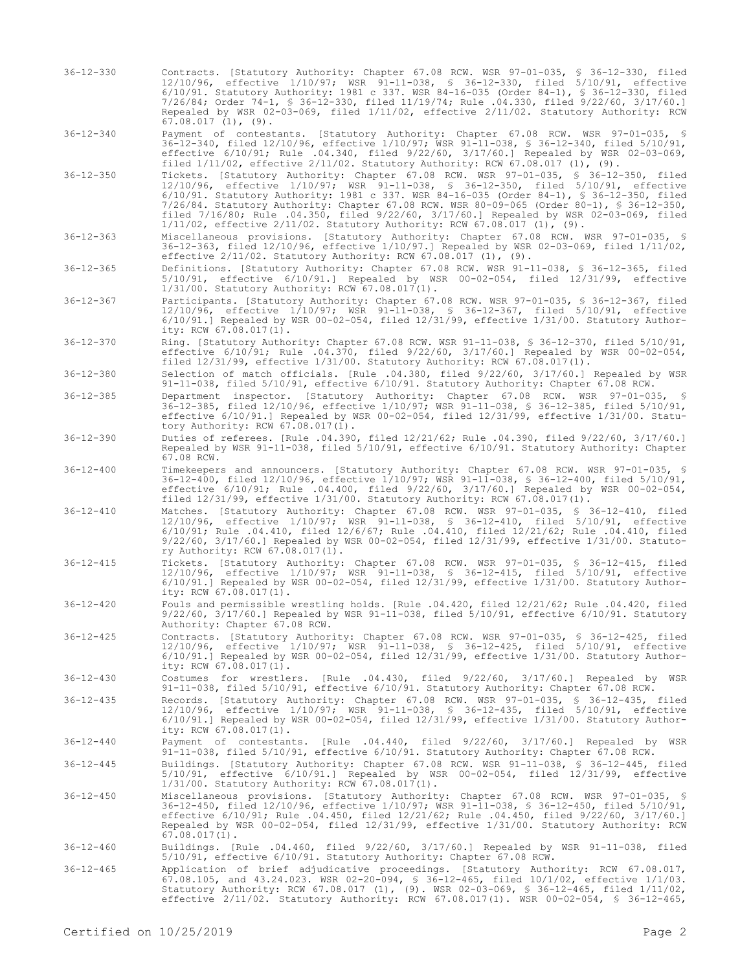- 36-12-330 Contracts. [Statutory Authority: Chapter 67.08 RCW. WSR 97-01-035, § 36-12-330, filed 12/10/96, effective 1/10/97; WSR 91-11-038, § 36-12-330, filed 5/10/91, effective 6/10/91. Statutory Authority: 1981 c 337. WSR 84-16-035 (Order 84-1), § 36-12-330, filed 7/26/84; Order 74-1, § 36-12-330, filed 11/19/74; Rule .04.330, filed 9/22/60, 3/17/60.] Repealed by WSR 02-03-069, filed 1/11/02, effective 2/11/02. Statutory Authority: RCW  $67.08.017$   $(1)$ ,  $(9)$ .
- 36-12-340 Payment of contestants. [Statutory Authority: Chapter 67.08 RCW. WSR 97-01-035, § 36-12-340, filed 12/10/96, effective 1/10/97; WSR 91-11-038, § 36-12-340, filed 5/10/91, effective 6/10/91; Rule .04.340, filed 9/22/60, 3/17/60.] Repealed by WSR 02-03-069, filed 1/11/02, effective 2/11/02. Statutory Authority: RCW 67.08.017 (1), (9).
- 36-12-350 Tickets. [Statutory Authority: Chapter 67.08 RCW. WSR 97-01-035, § 36-12-350, filed 12/10/96, effective 1/10/97; WSR 91-11-038, § 36-12-350, filed 5/10/91, effective 6/10/91. Statutory Authority: 1981 c 337. WSR 84-16-035 (Order 84-1), § 36-12-350, filed 7/26/84. Statutory Authority: Chapter 67.08 RCW. WSR 80-09-065 (Order 80-1), § 36-12-350, filed 7/16/80; Rule .04.350, filed 9/22/60, 3/17/60.] Repealed by WSR 02-03-069, filed 1/11/02, effective 2/11/02. Statutory Authority: RCW 67.08.017 (1), (9).
- 36-12-363 Miscellaneous provisions. [Statutory Authority: Chapter 67.08 RCW. WSR 97-01-035, § 36-12-363, filed 12/10/96, effective 1/10/97.] Repealed by WSR 02-03-069, filed 1/11/02, effective 2/11/02. Statutory Authority: RCW 67.08.017 (1), (9).
- 36-12-365 Definitions. [Statutory Authority: Chapter 67.08 RCW. WSR 91-11-038, § 36-12-365, filed 5/10/91, effective 6/10/91.] Repealed by WSR 00-02-054, filed 12/31/99, effective 1/31/00. Statutory Authority: RCW 67.08.017(1).
- 36-12-367 Participants. [Statutory Authority: Chapter 67.08 RCW. WSR 97-01-035, § 36-12-367, filed 12/10/96, effective 1/10/97; WSR 91-11-038, § 36-12-367, filed 5/10/91, effective 6/10/91.] Repealed by WSR 00-02-054, filed 12/31/99, effective 1/31/00. Statutory Authority: RCW 67.08.017(1).
- 36-12-370 Ring. [Statutory Authority: Chapter 67.08 RCW. WSR 91-11-038, § 36-12-370, filed 5/10/91, effective 6/10/91; Rule .04.370, filed 9/22/60, 3/17/60.] Repealed by WSR 00-02-054, filed 12/31/99, effective 1/31/00. Statutory Authority: RCW 67.08.017(1).
- 36-12-380 Selection of match officials. [Rule .04.380, filed 9/22/60, 3/17/60.] Repealed by WSR 91-11-038, filed 5/10/91, effective 6/10/91. Statutory Authority: Chapter 67.08 RCW.
- 36-12-385 Department inspector. [Statutory Authority: Chapter 67.08 RCW. WSR 97-01-035, § 36-12-385, filed 12/10/96, effective 1/10/97; WSR 91-11-038, § 36-12-385, filed 5/10/91, effective 6/10/91.] Repealed by WSR 00-02-054, filed 12/31/99, effective 1/31/00. Statutory Authority: RCW 67.08.017(1).
- 36-12-390 Duties of referees. [Rule .04.390, filed 12/21/62; Rule .04.390, filed 9/22/60, 3/17/60.] Repealed by WSR 91-11-038, filed 5/10/91, effective 6/10/91. Statutory Authority: Chapter 67.08 RCW.
- 36-12-400 Timekeepers and announcers. [Statutory Authority: Chapter 67.08 RCW. WSR 97-01-035, § 36-12-400, filed 12/10/96, effective 1/10/97; WSR 91-11-038, § 36-12-400, filed 5/10/91, effective 6/10/91; Rule .04.400, filed 9/22/60, 3/17/60.] Repealed by WSR 00-02-054, filed 12/31/99, effective 1/31/00. Statutory Authority: RCW 67.08.017(1).
- 36-12-410 Matches. [Statutory Authority: Chapter 67.08 RCW. WSR 97-01-035, § 36-12-410, filed 12/10/96, effective 1/10/97; WSR 91-11-038, § 36-12-410, filed 5/10/91, effective 6/10/91; Rule .04.410, filed 12/6/67; Rule .04.410, filed 12/21/62; Rule .04.410, filed 9/22/60, 3/17/60.] Repealed by WSR 00-02-054, filed 12/31/99, effective 1/31/00. Statutory Authority: RCW 67.08.017(1).
- 36-12-415 Tickets. [Statutory Authority: Chapter 67.08 RCW. WSR 97-01-035, § 36-12-415, filed 12/10/96, effective 1/10/97; WSR 91-11-038, § 36-12-415, filed 5/10/91, effective 6/10/91.] Repealed by WSR 00-02-054, filed 12/31/99, effective 1/31/00. Statutory Authority: RCW 67.08.017(1).
- 36-12-420 Fouls and permissible wrestling holds. [Rule .04.420, filed 12/21/62; Rule .04.420, filed 9/22/60, 3/17/60.] Repealed by WSR 91-11-038, filed 5/10/91, effective 6/10/91. Statutory Authority: Chapter 67.08 RCW.
- 36-12-425 Contracts. [Statutory Authority: Chapter 67.08 RCW. WSR 97-01-035, § 36-12-425, filed 12/10/96, effective 1/10/97; WSR 91-11-038, § 36-12-425, filed 5/10/91, effective 6/10/91.] Repealed by WSR 00-02-054, filed 12/31/99, effective 1/31/00. Statutory Authority: RCW 67.08.017(1).
- 36-12-430 Costumes for wrestlers. [Rule .04.430, filed 9/22/60, 3/17/60.] Repealed by WSR 91-11-038, filed 5/10/91, effective 6/10/91. Statutory Authority: Chapter 67.08 RCW.
- 36-12-435 Records. [Statutory Authority: Chapter 67.08 RCW. WSR 97-01-035, § 36-12-435, filed 12/10/96, effective 1/10/97; WSR 91-11-038, § 36-12-435, filed 5/10/91, effective 6/10/91.] Repealed by WSR 00-02-054, filed 12/31/99, effective 1/31/00. Statutory Authority: RCW 67.08.017(1).
- 36-12-440 Payment of contestants. [Rule .04.440, filed 9/22/60, 3/17/60.] Repealed by WSR 91-11-038, filed 5/10/91, effective 6/10/91. Statutory Authority: Chapter 67.08 RCW.
- 36-12-445 Buildings. [Statutory Authority: Chapter 67.08 RCW. WSR 91-11-038, § 36-12-445, filed 5/10/91, effective 6/10/91.] Repealed by WSR 00-02-054, filed 12/31/99, effective 1/31/00. Statutory Authority: RCW 67.08.017(1).
- 36-12-450 Miscellaneous provisions. [Statutory Authority: Chapter 67.08 RCW. WSR 97-01-035, § 36-12-450, filed 12/10/96, effective 1/10/97; WSR 91-11-038, § 36-12-450, filed 5/10/91,<br>effective 6/10/91; Rule .04.450, filed 12/21/62; Rule .04.450, filed 9/22/60, 3/17/60.]<br>Repealed by WSR 00-02-054, filed 12/31/99, ef  $67.08.017(\mathbb{1})$ .
- 36-12-460 Buildings. [Rule .04.460, filed 9/22/60, 3/17/60.] Repealed by WSR 91-11-038, filed 5/10/91, effective 6/10/91. Statutory Authority: Chapter 67.08 RCW.
- 36-12-465 Application of brief adjudicative proceedings. [Statutory Authority: RCW 67.08.017, 67.08.105, and 43.24.023. WSR 02-20-094, § 36-12-465, filed 10/1/02, effective 1/1/03. Statutory Authority: RCW 67.08.017 (1), (9). WSR 02-03-069, § 36-12-465, filed 1/11/02, effective 2/11/02. Statutory Authority: RCW 67.08.017(1). WSR 00-02-054, § 36-12-465,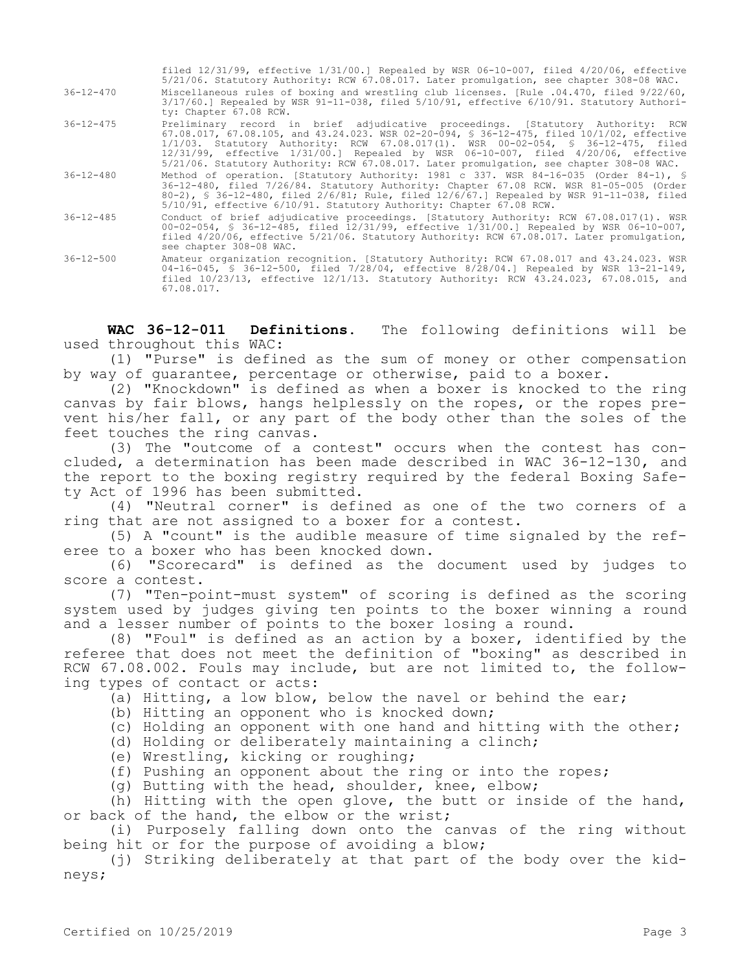|                 | filed $12/31/99$ , effective $1/31/00$ .] Repealed by WSR 06-10-007, filed $4/20/06$ , effective<br>5/21/06. Statutory Authority: RCW 67.08.017. Later promulgation, see chapter 308-08 WAC.                                                                                                                                                                                                                                                      |
|-----------------|---------------------------------------------------------------------------------------------------------------------------------------------------------------------------------------------------------------------------------------------------------------------------------------------------------------------------------------------------------------------------------------------------------------------------------------------------|
| $36 - 12 - 470$ | Miscellaneous rules of boxing and wrestling club licenses. [Rule .04.470, filed 9/22/60,<br>$3/17/60.$ Repealed by WSR 91-11-038, filed $5/10/91$ , effective $6/10/91$ . Statutory Authori-<br>ty: Chapter 67.08 RCW.                                                                                                                                                                                                                            |
| $36 - 12 - 475$ | Preliminary record in brief adjudicative proceedings. [Statutory Authority: RCW<br>67.08.017, 67.08.105, and 43.24.023. WSR 02-20-094, § 36-12-475, filed 10/1/02, effective<br>1/1/03. Statutory Authority: RCW 67.08.017(1). WSR 00-02-054, § 36-12-475, filed<br>12/31/99, effective 1/31/00.] Repealed by WSR 06-10-007, filed 4/20/06, effective<br>5/21/06. Statutory Authority: RCW 67.08.017. Later promulgation, see chapter 308-08 WAC. |
| $36 - 12 - 480$ | Method of operation. [Statutory Authority: 1981 c 337. WSR 84-16-035 (Order 84-1), §<br>36-12-480, filed 7/26/84. Statutory Authority: Chapter 67.08 RCW. WSR 81-05-005 (Order<br>80-2), § 36-12-480, filed 2/6/81; Rule, filed 12/6/67.] Repealed by WSR 91-11-038, filed<br>5/10/91, effective 6/10/91. Statutory Authority: Chapter 67.08 RCW.                                                                                                 |
| $36 - 12 - 485$ | Conduct of brief adjudicative proceedings. [Statutory Authority: RCW 67.08.017(1). WSR<br>00-02-054, § 36-12-485, filed 12/31/99, effective 1/31/00.] Repealed by WSR 06-10-007,<br>filed 4/20/06, effective 5/21/06. Statutory Authority: RCW 67.08.017. Later promulgation,<br>see chapter 308-08 WAC.                                                                                                                                          |
| $36 - 12 - 500$ | Amateur organization recognition. [Statutory Authority: RCW 67.08.017 and 43.24.023. WSR<br>$04-16-045$ , § 36-12-500, filed 7/28/04, effective 8/28/04.] Repealed by WSR 13-21-149,<br>filed $10/23/13$ , effective $12/1/13$ . Statutory Authority: RCW $43.24.023$ , $67.08.015$ , and<br>67.08.017.                                                                                                                                           |

**WAC 36-12-011 Definitions.** The following definitions will be used throughout this WAC:

(1) "Purse" is defined as the sum of money or other compensation by way of guarantee, percentage or otherwise, paid to a boxer.

(2) "Knockdown" is defined as when a boxer is knocked to the ring canvas by fair blows, hangs helplessly on the ropes, or the ropes prevent his/her fall, or any part of the body other than the soles of the feet touches the ring canvas.

(3) The "outcome of a contest" occurs when the contest has concluded, a determination has been made described in WAC 36-12-130, and the report to the boxing registry required by the federal Boxing Safety Act of 1996 has been submitted.

(4) "Neutral corner" is defined as one of the two corners of a ring that are not assigned to a boxer for a contest.

(5) A "count" is the audible measure of time signaled by the referee to a boxer who has been knocked down.

(6) "Scorecard" is defined as the document used by judges to score a contest.

(7) "Ten-point-must system" of scoring is defined as the scoring system used by judges giving ten points to the boxer winning a round and a lesser number of points to the boxer losing a round.

(8) "Foul" is defined as an action by a boxer, identified by the referee that does not meet the definition of "boxing" as described in RCW 67.08.002. Fouls may include, but are not limited to, the following types of contact or acts:

(a) Hitting, a low blow, below the navel or behind the ear;

- (b) Hitting an opponent who is knocked down;
- (c) Holding an opponent with one hand and hitting with the other;
- (d) Holding or deliberately maintaining a clinch;
- (e) Wrestling, kicking or roughing;

(f) Pushing an opponent about the ring or into the ropes;

(g) Butting with the head, shoulder, knee, elbow;

(h) Hitting with the open glove, the butt or inside of the hand, or back of the hand, the elbow or the wrist;

(i) Purposely falling down onto the canvas of the ring without being hit or for the purpose of avoiding a blow;

(j) Striking deliberately at that part of the body over the kidneys;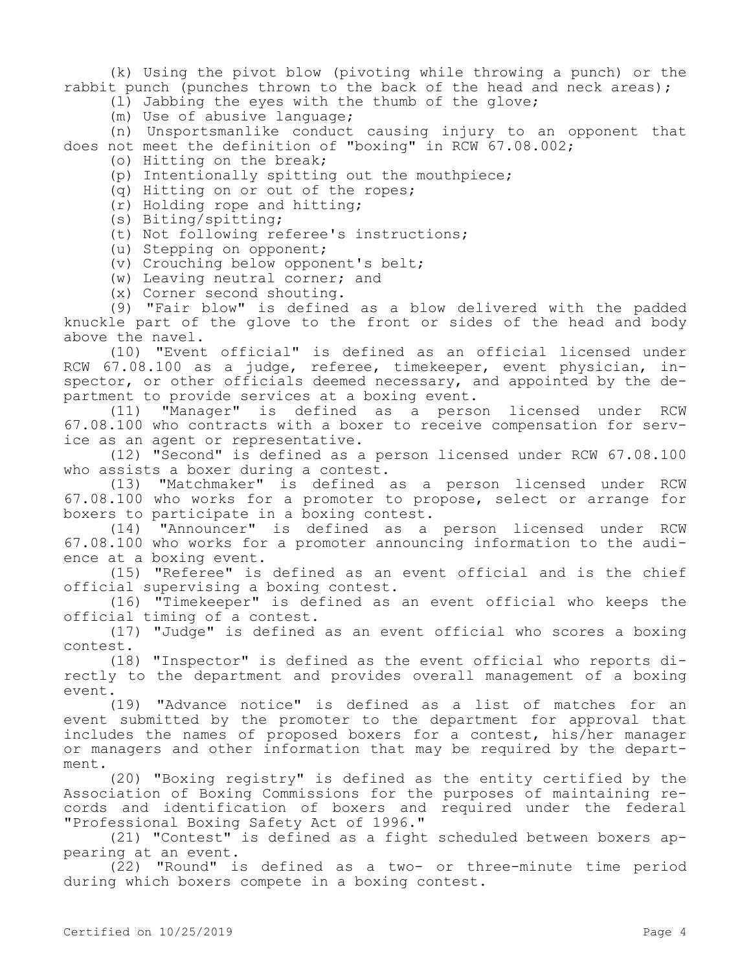(k) Using the pivot blow (pivoting while throwing a punch) or the rabbit punch (punches thrown to the back of the head and neck areas);

- (l) Jabbing the eyes with the thumb of the glove;
- (m) Use of abusive language;

(n) Unsportsmanlike conduct causing injury to an opponent that does not meet the definition of "boxing" in RCW 67.08.002;

- (o) Hitting on the break;
- (p) Intentionally spitting out the mouthpiece;
- (q) Hitting on or out of the ropes;
- (r) Holding rope and hitting;
- (s) Biting/spitting;
- (t) Not following referee's instructions;
- (u) Stepping on opponent;
- (v) Crouching below opponent's belt;
- (w) Leaving neutral corner; and
- (x) Corner second shouting.

(9) "Fair blow" is defined as a blow delivered with the padded knuckle part of the glove to the front or sides of the head and body above the navel.

(10) "Event official" is defined as an official licensed under RCW 67.08.100 as a judge, referee, timekeeper, event physician, inspector, or other officials deemed necessary, and appointed by the department to provide services at a boxing event.

(11) "Manager" is defined as a person licensed under RCW 67.08.100 who contracts with a boxer to receive compensation for service as an agent or representative.

(12) "Second" is defined as a person licensed under RCW 67.08.100 who assists a boxer during a contest.

(13) "Matchmaker" is defined as a person licensed under RCW 67.08.100 who works for a promoter to propose, select or arrange for boxers to participate in a boxing contest.

(14) "Announcer" is defined as a person licensed under RCW 67.08.100 who works for a promoter announcing information to the audience at a boxing event.

(15) "Referee" is defined as an event official and is the chief official supervising a boxing contest.

(16) "Timekeeper" is defined as an event official who keeps the official timing of a contest.

(17) "Judge" is defined as an event official who scores a boxing contest.

(18) "Inspector" is defined as the event official who reports directly to the department and provides overall management of a boxing event.

(19) "Advance notice" is defined as a list of matches for an event submitted by the promoter to the department for approval that includes the names of proposed boxers for a contest, his/her manager or managers and other information that may be required by the department.

(20) "Boxing registry" is defined as the entity certified by the Association of Boxing Commissions for the purposes of maintaining records and identification of boxers and required under the federal "Professional Boxing Safety Act of 1996."

(21) "Contest" is defined as a fight scheduled between boxers appearing at an event.

(22) "Round" is defined as a two- or three-minute time period during which boxers compete in a boxing contest.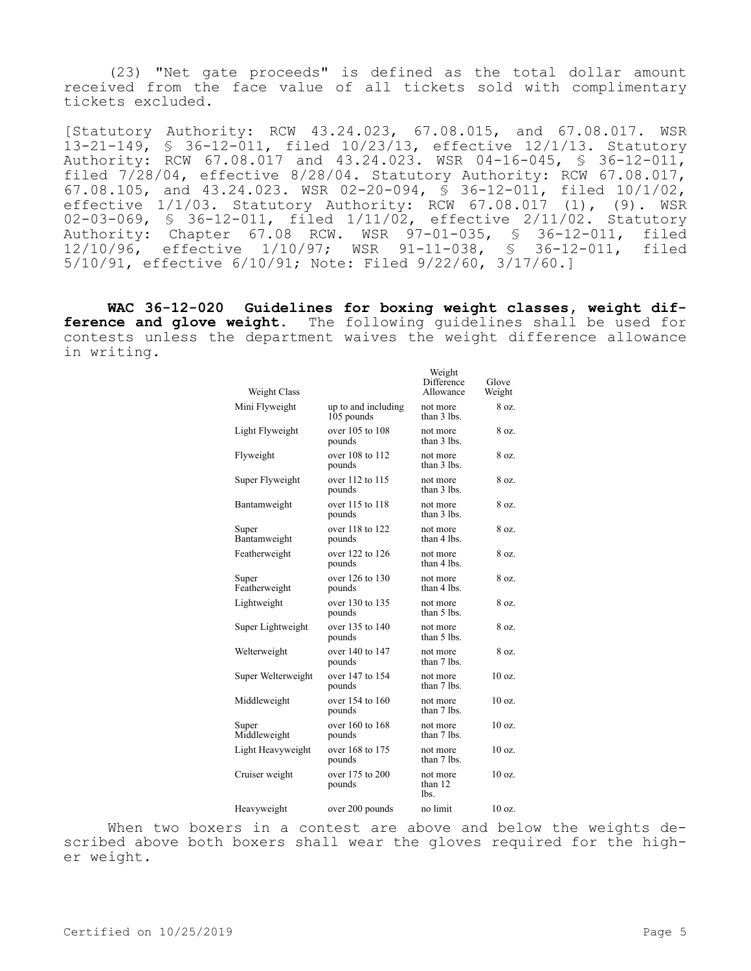(23) "Net gate proceeds" is defined as the total dollar amount received from the face value of all tickets sold with complimentary tickets excluded.

[Statutory Authority: RCW 43.24.023, 67.08.015, and 67.08.017. WSR 13-21-149, § 36-12-011, filed 10/23/13, effective 12/1/13. Statutory Authority: RCW 67.08.017 and 43.24.023. WSR 04-16-045, § 36-12-011, filed 7/28/04, effective 8/28/04. Statutory Authority: RCW 67.08.017, 67.08.105, and 43.24.023. WSR 02-20-094, § 36-12-011, filed 10/1/02, effective 1/1/03. Statutory Authority: RCW 67.08.017 (1), (9). WSR 02-03-069, § 36-12-011, filed 1/11/02, effective 2/11/02. Statutory Authority: Chapter 67.08 RCW. WSR 97-01-035, § 36-12-011, filed 12/10/96, effective 1/10/97; WSR 91-11-038, § 36-12-011, filed 5/10/91, effective 6/10/91; Note: Filed 9/22/60, 3/17/60.]

**WAC 36-12-020 Guidelines for boxing weight classes, weight difference and glove weight.** The following guidelines shall be used for contests unless the department waives the weight difference allowance in writing.

| Weight Class           |                                   | Weight<br>Difference<br>Allowance | Glove<br>Weight   |
|------------------------|-----------------------------------|-----------------------------------|-------------------|
| Mini Flyweight         | up to and including<br>105 pounds | not more<br>than 3 lbs.           | 8 oz.             |
| Light Flyweight        | over 105 to 108<br>pounds         | not more<br>than 3 lbs.           | 8 oz.             |
| Flyweight              | over 108 to 112<br>pounds         | not more<br>than 3 lbs.           | 8 oz.             |
| Super Flyweight        | over 112 to 115<br>pounds         | not more<br>than 3 lbs.           | 8 oz.             |
| Bantamweight           | over 115 to 118<br>pounds         | not more<br>than 3 lbs.           | 8 oz.             |
| Super<br>Bantamweight  | over 118 to 122<br>pounds         | not more<br>than 4 lbs.           | 8 oz.             |
| Featherweight          | over 122 to 126<br>pounds         | not more<br>than 4 lbs.           | 8 oz.             |
| Super<br>Featherweight | over 126 to 130<br>pounds         | not more<br>than 4 lbs.           | 8 oz.             |
| Lightweight            | over 130 to 135<br>pounds         | not more<br>than 5 lbs.           | 8 oz.             |
| Super Lightweight      | over 135 to 140<br>pounds         | not more<br>than 5 lbs.           | 8 oz.             |
| Welterweight           | over $140$ to $147$<br>pounds     | not more<br>than 7 lbs.           | 8 oz.             |
| Super Welterweight     | over 147 to 154<br>pounds         | not more<br>than 7 lbs.           | $10 \text{ oz}$ . |
| Middleweight           | over 154 to 160<br>pounds         | not more<br>than 7 lbs.           | $10 \text{ oz}$ . |
| Super<br>Middleweight  | over 160 to 168<br>pounds         | not more<br>than 7 lbs.           | $10 \text{ oz}$ . |
| Light Heavyweight      | over 168 to 175<br>pounds         | not more<br>than 7 lbs.           | $10 \text{ oz}$ . |
| Cruiser weight         | over 175 to 200<br>pounds         | not more<br>than 12<br>lbs.       | 10 oz.            |
| Heavyweight            | over 200 pounds                   | no limit                          | 10 oz.            |

When two boxers in a contest are above and below the weights described above both boxers shall wear the gloves required for the higher weight.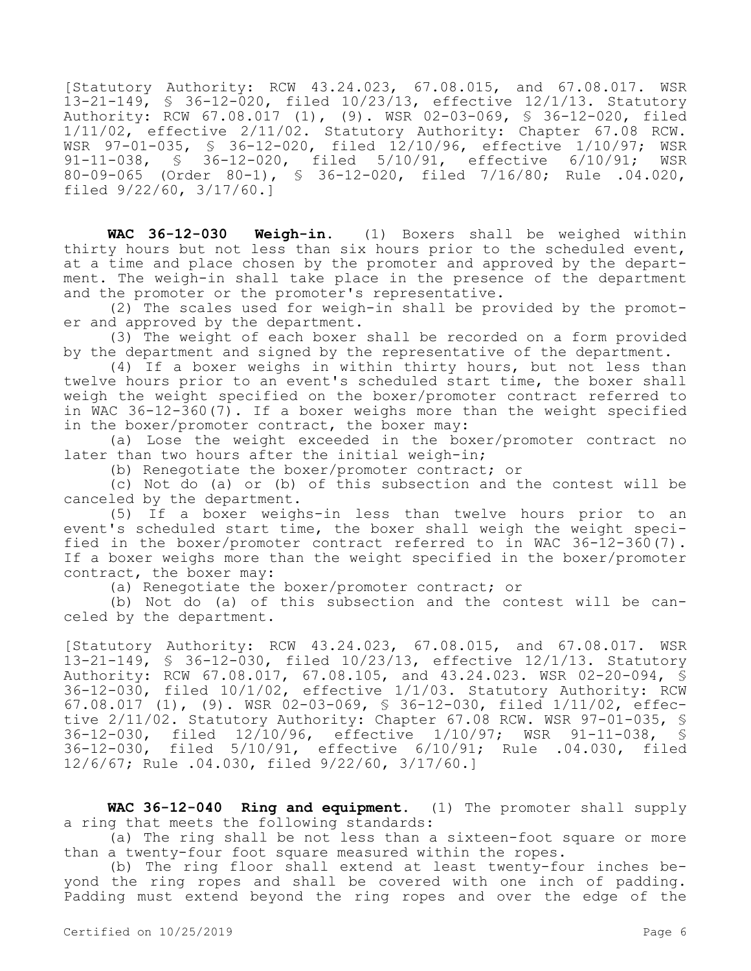[Statutory Authority: RCW 43.24.023, 67.08.015, and 67.08.017. WSR 13-21-149, § 36-12-020, filed 10/23/13, effective 12/1/13. Statutory Authority: RCW 67.08.017 (1), (9). WSR 02-03-069, § 36-12-020, filed 1/11/02, effective 2/11/02. Statutory Authority: Chapter 67.08 RCW. WSR 97-01-035, § 36-12-020, filed 12/10/96, effective 1/10/97; WSR 91-11-038, § 36-12-020, filed 5/10/91, effective 6/10/91; WSR 80-09-065 (Order 80-1), § 36-12-020, filed 7/16/80; Rule .04.020, filed 9/22/60, 3/17/60.]

**WAC 36-12-030 Weigh-in.** (1) Boxers shall be weighed within thirty hours but not less than six hours prior to the scheduled event, at a time and place chosen by the promoter and approved by the department. The weigh-in shall take place in the presence of the department and the promoter or the promoter's representative.

(2) The scales used for weigh-in shall be provided by the promoter and approved by the department.

(3) The weight of each boxer shall be recorded on a form provided by the department and signed by the representative of the department.

(4) If a boxer weighs in within thirty hours, but not less than twelve hours prior to an event's scheduled start time, the boxer shall weigh the weight specified on the boxer/promoter contract referred to in WAC 36-12-360(7). If a boxer weighs more than the weight specified in the boxer/promoter contract, the boxer may:

(a) Lose the weight exceeded in the boxer/promoter contract no later than two hours after the initial weigh-in;

(b) Renegotiate the boxer/promoter contract; or

(c) Not do (a) or (b) of this subsection and the contest will be canceled by the department.

(5) If a boxer weighs-in less than twelve hours prior to an event's scheduled start time, the boxer shall weigh the weight specified in the boxer/promoter contract referred to in WAC 36-12-360(7). If a boxer weighs more than the weight specified in the boxer/promoter contract, the boxer may:

(a) Renegotiate the boxer/promoter contract; or

(b) Not do (a) of this subsection and the contest will be canceled by the department.

[Statutory Authority: RCW 43.24.023, 67.08.015, and 67.08.017. WSR 13-21-149, § 36-12-030, filed 10/23/13, effective 12/1/13. Statutory Authority: RCW 67.08.017, 67.08.105, and 43.24.023. WSR 02-20-094, § 36-12-030, filed 10/1/02, effective 1/1/03. Statutory Authority: RCW 67.08.017 (1), (9). WSR 02-03-069, § 36-12-030, filed 1/11/02, effective 2/11/02. Statutory Authority: Chapter 67.08 RCW. WSR 97-01-035, § 36-12-030, filed 12/10/96, effective 1/10/97; WSR 91-11-038, § 36-12-030, filed 5/10/91, effective 6/10/91; Rule .04.030, filed 12/6/67; Rule .04.030, filed 9/22/60, 3/17/60.]

**WAC 36-12-040 Ring and equipment.** (1) The promoter shall supply a ring that meets the following standards:

(a) The ring shall be not less than a sixteen-foot square or more than a twenty-four foot square measured within the ropes.

(b) The ring floor shall extend at least twenty-four inches beyond the ring ropes and shall be covered with one inch of padding. Padding must extend beyond the ring ropes and over the edge of the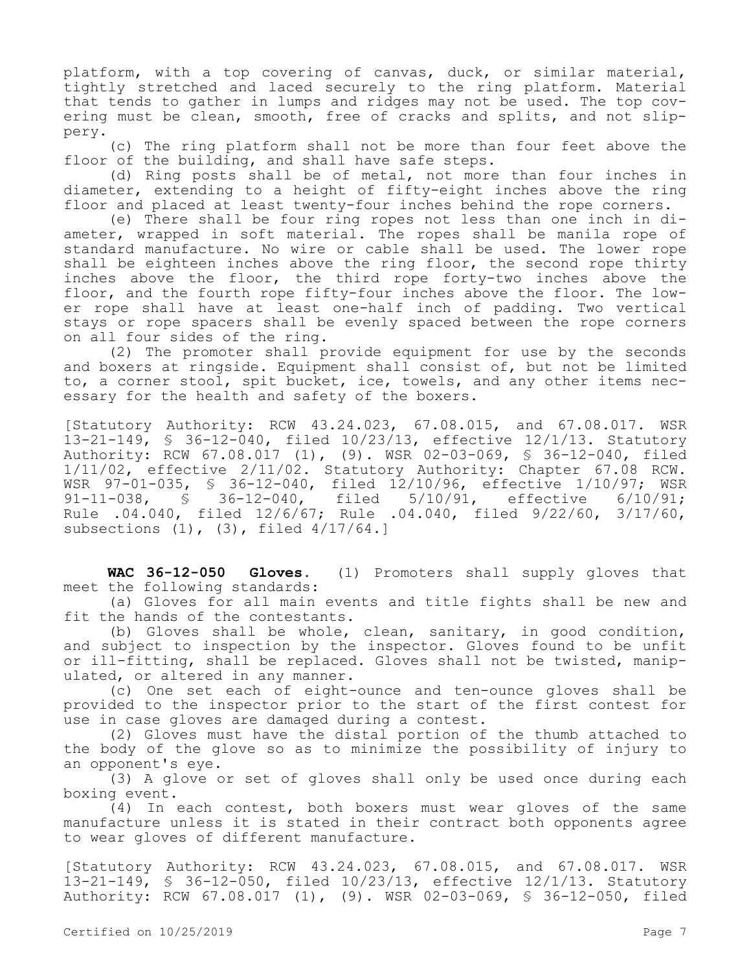platform, with a top covering of canvas, duck, or similar material, tightly stretched and laced securely to the ring platform. Material that tends to gather in lumps and ridges may not be used. The top covering must be clean, smooth, free of cracks and splits, and not slippery.

(c) The ring platform shall not be more than four feet above the floor of the building, and shall have safe steps.

(d) Ring posts shall be of metal, not more than four inches in diameter, extending to a height of fifty-eight inches above the ring floor and placed at least twenty-four inches behind the rope corners.

(e) There shall be four ring ropes not less than one inch in diameter, wrapped in soft material. The ropes shall be manila rope of standard manufacture. No wire or cable shall be used. The lower rope shall be eighteen inches above the ring floor, the second rope thirty inches above the floor, the third rope forty-two inches above the floor, and the fourth rope fifty-four inches above the floor. The lower rope shall have at least one-half inch of padding. Two vertical stays or rope spacers shall be evenly spaced between the rope corners on all four sides of the ring.

(2) The promoter shall provide equipment for use by the seconds and boxers at ringside. Equipment shall consist of, but not be limited to, a corner stool, spit bucket, ice, towels, and any other items necessary for the health and safety of the boxers.

[Statutory Authority: RCW 43.24.023, 67.08.015, and 67.08.017. WSR 13-21-149, § 36-12-040, filed 10/23/13, effective 12/1/13. Statutory Authority: RCW 67.08.017 (1), (9). WSR 02-03-069, § 36-12-040, filed 1/11/02, effective 2/11/02. Statutory Authority: Chapter 67.08 RCW. WSR 97-01-035, § 36-12-040, filed 12/10/96, effective 1/10/97; WSR<br>91-11-038, § 36-12-040, filed 5/10/91, effective 6/10/91; § 36-12-040, filed 5/10/91, effective 6/10/91; Rule .04.040, filed 12/6/67; Rule .04.040, filed 9/22/60, 3/17/60, subsections (1), (3), filed 4/17/64.]

**WAC 36-12-050 Gloves.** (1) Promoters shall supply gloves that meet the following standards:

(a) Gloves for all main events and title fights shall be new and fit the hands of the contestants.

(b) Gloves shall be whole, clean, sanitary, in good condition, and subject to inspection by the inspector. Gloves found to be unfit or ill-fitting, shall be replaced. Gloves shall not be twisted, manipulated, or altered in any manner.

(c) One set each of eight-ounce and ten-ounce gloves shall be provided to the inspector prior to the start of the first contest for use in case gloves are damaged during a contest.

(2) Gloves must have the distal portion of the thumb attached to the body of the glove so as to minimize the possibility of injury to an opponent's eye.

(3) A glove or set of gloves shall only be used once during each boxing event.

(4) In each contest, both boxers must wear gloves of the same manufacture unless it is stated in their contract both opponents agree to wear gloves of different manufacture.

[Statutory Authority: RCW 43.24.023, 67.08.015, and 67.08.017. WSR 13-21-149, § 36-12-050, filed 10/23/13, effective 12/1/13. Statutory Authority: RCW 67.08.017 (1), (9). WSR 02-03-069, § 36-12-050, filed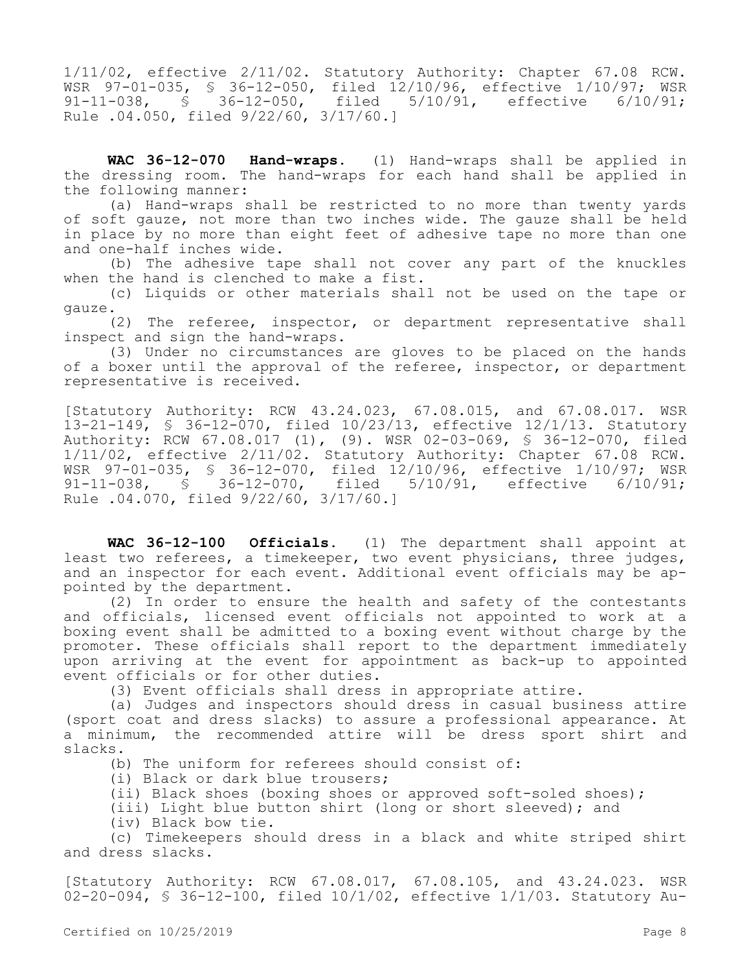1/11/02, effective 2/11/02. Statutory Authority: Chapter 67.08 RCW. WSR 97-01-035, § 36-12-050, filed 12/10/96, effective 1/10/97; WSR 91-11-038, § 36-12-050, filed 5/10/91, effective 6/10/91; Rule .04.050, filed 9/22/60, 3/17/60.]

**WAC 36-12-070 Hand-wraps.** (1) Hand-wraps shall be applied in the dressing room. The hand-wraps for each hand shall be applied in the following manner:

(a) Hand-wraps shall be restricted to no more than twenty yards of soft gauze, not more than two inches wide. The gauze shall be held in place by no more than eight feet of adhesive tape no more than one and one-half inches wide.

(b) The adhesive tape shall not cover any part of the knuckles when the hand is clenched to make a fist.

(c) Liquids or other materials shall not be used on the tape or gauze.

(2) The referee, inspector, or department representative shall inspect and sign the hand-wraps.

(3) Under no circumstances are gloves to be placed on the hands of a boxer until the approval of the referee, inspector, or department representative is received.

[Statutory Authority: RCW 43.24.023, 67.08.015, and 67.08.017. WSR 13-21-149, § 36-12-070, filed 10/23/13, effective 12/1/13. Statutory Authority: RCW 67.08.017 (1), (9). WSR 02-03-069, § 36-12-070, filed 1/11/02, effective 2/11/02. Statutory Authority: Chapter 67.08 RCW. WSR 97-01-035, § 36-12-070, filed 12/10/96, effective 1/10/97; WSR<br>91-11-038, § 36-12-070, filed 5/10/91, effective 6/10/91; 91-11-038, § 36-12-070, filed 5/10/91, effective 6/10/91; Rule .04.070, filed 9/22/60, 3/17/60.]

**WAC 36-12-100 Officials.** (1) The department shall appoint at least two referees, a timekeeper, two event physicians, three judges, and an inspector for each event. Additional event officials may be appointed by the department.

(2) In order to ensure the health and safety of the contestants and officials, licensed event officials not appointed to work at a boxing event shall be admitted to a boxing event without charge by the promoter. These officials shall report to the department immediately upon arriving at the event for appointment as back-up to appointed event officials or for other duties.

(3) Event officials shall dress in appropriate attire.

(a) Judges and inspectors should dress in casual business attire (sport coat and dress slacks) to assure a professional appearance. At a minimum, the recommended attire will be dress sport shirt and slacks.

(b) The uniform for referees should consist of:

(i) Black or dark blue trousers;

(ii) Black shoes (boxing shoes or approved soft-soled shoes);

(iii) Light blue button shirt (long or short sleeved); and

(iv) Black bow tie.

(c) Timekeepers should dress in a black and white striped shirt and dress slacks.

[Statutory Authority: RCW 67.08.017, 67.08.105, and 43.24.023. WSR 02-20-094, § 36-12-100, filed 10/1/02, effective 1/1/03. Statutory Au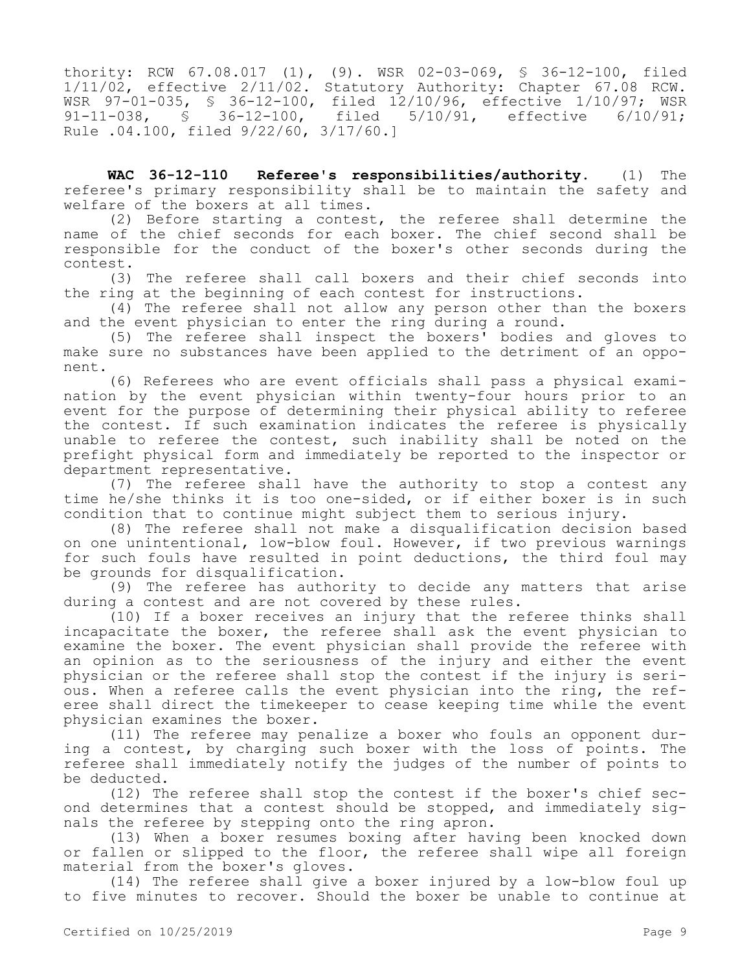thority: RCW 67.08.017 (1), (9). WSR 02-03-069, § 36-12-100, filed 1/11/02, effective 2/11/02. Statutory Authority: Chapter 67.08 RCW. WSR 97-01-035, § 36-12-100, filed 12/10/96, effective 1/10/97; WSR 91-11-038, § 36-12-100, filed 5/10/91, effective 6/10/91; Rule .04.100, filed 9/22/60, 3/17/60.]

**WAC 36-12-110 Referee's responsibilities/authority.** (1) The referee's primary responsibility shall be to maintain the safety and welfare of the boxers at all times.

(2) Before starting a contest, the referee shall determine the name of the chief seconds for each boxer. The chief second shall be responsible for the conduct of the boxer's other seconds during the contest.

(3) The referee shall call boxers and their chief seconds into the ring at the beginning of each contest for instructions.

(4) The referee shall not allow any person other than the boxers and the event physician to enter the ring during a round.

(5) The referee shall inspect the boxers' bodies and gloves to make sure no substances have been applied to the detriment of an opponent.

(6) Referees who are event officials shall pass a physical examination by the event physician within twenty-four hours prior to an event for the purpose of determining their physical ability to referee the contest. If such examination indicates the referee is physically unable to referee the contest, such inability shall be noted on the prefight physical form and immediately be reported to the inspector or department representative.

(7) The referee shall have the authority to stop a contest any time he/she thinks it is too one-sided, or if either boxer is in such condition that to continue might subject them to serious injury.

(8) The referee shall not make a disqualification decision based on one unintentional, low-blow foul. However, if two previous warnings for such fouls have resulted in point deductions, the third foul may be grounds for disqualification.

(9) The referee has authority to decide any matters that arise during a contest and are not covered by these rules.

(10) If a boxer receives an injury that the referee thinks shall incapacitate the boxer, the referee shall ask the event physician to examine the boxer. The event physician shall provide the referee with an opinion as to the seriousness of the injury and either the event physician or the referee shall stop the contest if the injury is serious. When a referee calls the event physician into the ring, the referee shall direct the timekeeper to cease keeping time while the event physician examines the boxer.

(11) The referee may penalize a boxer who fouls an opponent during a contest, by charging such boxer with the loss of points. The referee shall immediately notify the judges of the number of points to be deducted.

(12) The referee shall stop the contest if the boxer's chief second determines that a contest should be stopped, and immediately signals the referee by stepping onto the ring apron.

(13) When a boxer resumes boxing after having been knocked down or fallen or slipped to the floor, the referee shall wipe all foreign material from the boxer's gloves.

(14) The referee shall give a boxer injured by a low-blow foul up to five minutes to recover. Should the boxer be unable to continue at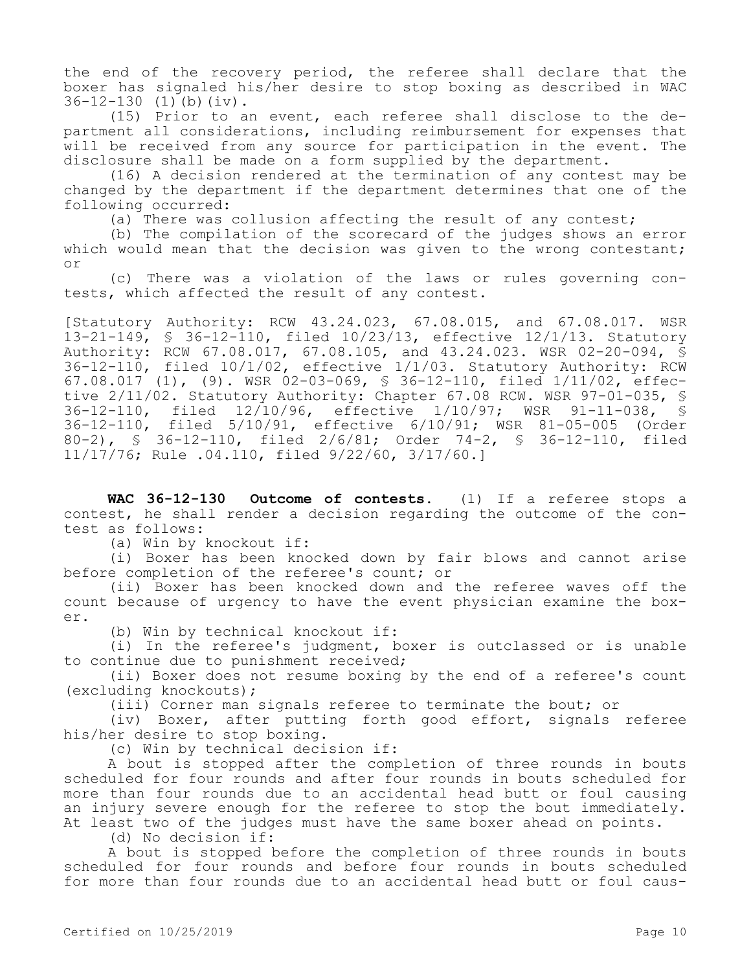the end of the recovery period, the referee shall declare that the boxer has signaled his/her desire to stop boxing as described in WAC 36-12-130 (1)(b)(iv).

(15) Prior to an event, each referee shall disclose to the department all considerations, including reimbursement for expenses that will be received from any source for participation in the event. The disclosure shall be made on a form supplied by the department.

(16) A decision rendered at the termination of any contest may be changed by the department if the department determines that one of the following occurred:

(a) There was collusion affecting the result of any contest;

(b) The compilation of the scorecard of the judges shows an error which would mean that the decision was given to the wrong contestant; or

(c) There was a violation of the laws or rules governing contests, which affected the result of any contest.

[Statutory Authority: RCW 43.24.023, 67.08.015, and 67.08.017. WSR 13-21-149, § 36-12-110, filed 10/23/13, effective 12/1/13. Statutory Authority: RCW 67.08.017, 67.08.105, and 43.24.023. WSR 02-20-094, § 36-12-110, filed 10/1/02, effective 1/1/03. Statutory Authority: RCW 67.08.017 (1), (9). WSR 02-03-069, § 36-12-110, filed 1/11/02, effective 2/11/02. Statutory Authority: Chapter 67.08 RCW. WSR 97-01-035, § 36-12-110, filed 12/10/96, effective 1/10/97; WSR 91-11-038, § 36-12-110, filed 5/10/91, effective 6/10/91; WSR 81-05-005 (Order 80-2), § 36-12-110, filed 2/6/81; Order 74-2, § 36-12-110, filed 11/17/76; Rule .04.110, filed 9/22/60, 3/17/60.]

**WAC 36-12-130 Outcome of contests.** (1) If a referee stops a contest, he shall render a decision regarding the outcome of the contest as follows:

(a) Win by knockout if:

(i) Boxer has been knocked down by fair blows and cannot arise before completion of the referee's count; or

(ii) Boxer has been knocked down and the referee waves off the count because of urgency to have the event physician examine the boxer.

(b) Win by technical knockout if:

(i) In the referee's judgment, boxer is outclassed or is unable to continue due to punishment received;

(ii) Boxer does not resume boxing by the end of a referee's count (excluding knockouts);

(iii) Corner man signals referee to terminate the bout; or

(iv) Boxer, after putting forth good effort, signals referee his/her desire to stop boxing.

(c) Win by technical decision if:

A bout is stopped after the completion of three rounds in bouts scheduled for four rounds and after four rounds in bouts scheduled for more than four rounds due to an accidental head butt or foul causing an injury severe enough for the referee to stop the bout immediately. At least two of the judges must have the same boxer ahead on points.

(d) No decision if:

A bout is stopped before the completion of three rounds in bouts scheduled for four rounds and before four rounds in bouts scheduled for more than four rounds due to an accidental head butt or foul caus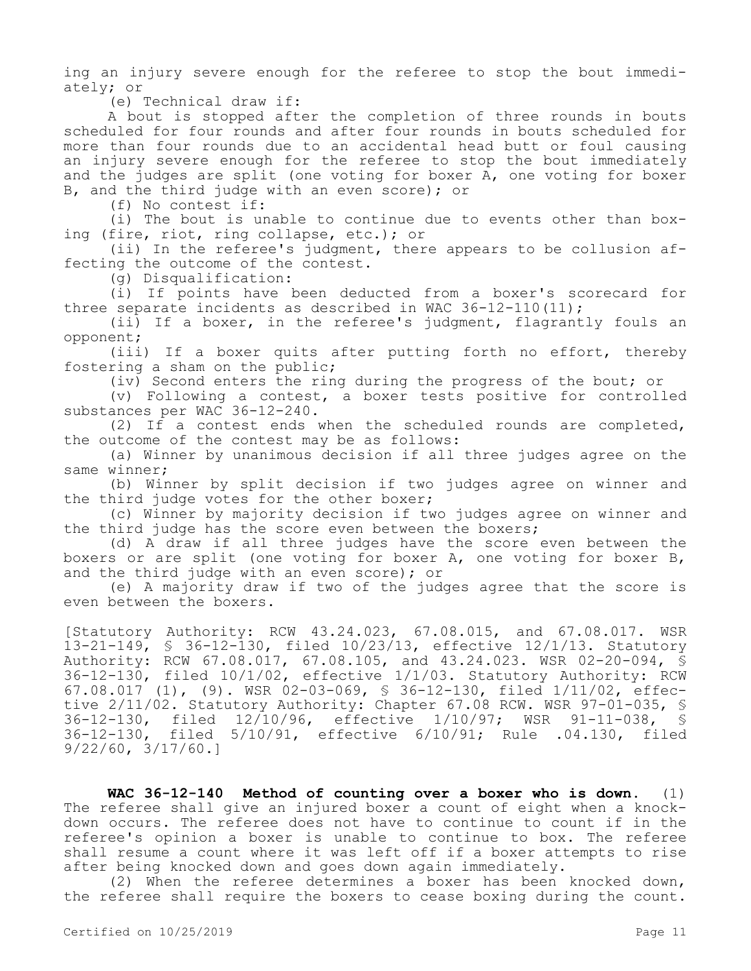ing an injury severe enough for the referee to stop the bout immediately; or

(e) Technical draw if:

A bout is stopped after the completion of three rounds in bouts scheduled for four rounds and after four rounds in bouts scheduled for more than four rounds due to an accidental head butt or foul causing an injury severe enough for the referee to stop the bout immediately and the judges are split (one voting for boxer A, one voting for boxer B, and the third judge with an even score); or

(f) No contest if:

(i) The bout is unable to continue due to events other than boxing (fire, riot, ring collapse, etc.); or

(ii) In the referee's judgment, there appears to be collusion affecting the outcome of the contest.

(g) Disqualification:

(i) If points have been deducted from a boxer's scorecard for three separate incidents as described in WAC 36-12-110(11);

(ii) If a boxer, in the referee's judgment, flagrantly fouls an opponent;

(iii) If a boxer quits after putting forth no effort, thereby fostering a sham on the public;

(iv) Second enters the ring during the progress of the bout; or

(v) Following a contest, a boxer tests positive for controlled substances per WAC 36-12-240.

(2) If a contest ends when the scheduled rounds are completed, the outcome of the contest may be as follows:

(a) Winner by unanimous decision if all three judges agree on the same winner;

(b) Winner by split decision if two judges agree on winner and the third judge votes for the other boxer;

(c) Winner by majority decision if two judges agree on winner and the third judge has the score even between the boxers;

(d) A draw if all three judges have the score even between the boxers or are split (one voting for boxer A, one voting for boxer B, and the third judge with an even score); or

(e) A majority draw if two of the judges agree that the score is even between the boxers.

[Statutory Authority: RCW 43.24.023, 67.08.015, and 67.08.017. WSR 13-21-149, § 36-12-130, filed 10/23/13, effective 12/1/13. Statutory Authority: RCW 67.08.017, 67.08.105, and 43.24.023. WSR 02-20-094, § 36-12-130, filed 10/1/02, effective 1/1/03. Statutory Authority: RCW 67.08.017 (1), (9). WSR 02-03-069, § 36-12-130, filed 1/11/02, effective 2/11/02. Statutory Authority: Chapter 67.08 RCW. WSR 97-01-035, § 36-12-130, filed 12/10/96, effective 1/10/97; WSR 91-11-038, § filed  $5/10/91$ , effective  $6/10/91$ ; Rule .04.130, filed 9/22/60, 3/17/60.]

**WAC 36-12-140 Method of counting over a boxer who is down.** (1) The referee shall give an injured boxer a count of eight when a knockdown occurs. The referee does not have to continue to count if in the referee's opinion a boxer is unable to continue to box. The referee shall resume a count where it was left off if a boxer attempts to rise after being knocked down and goes down again immediately.

(2) When the referee determines a boxer has been knocked down, the referee shall require the boxers to cease boxing during the count.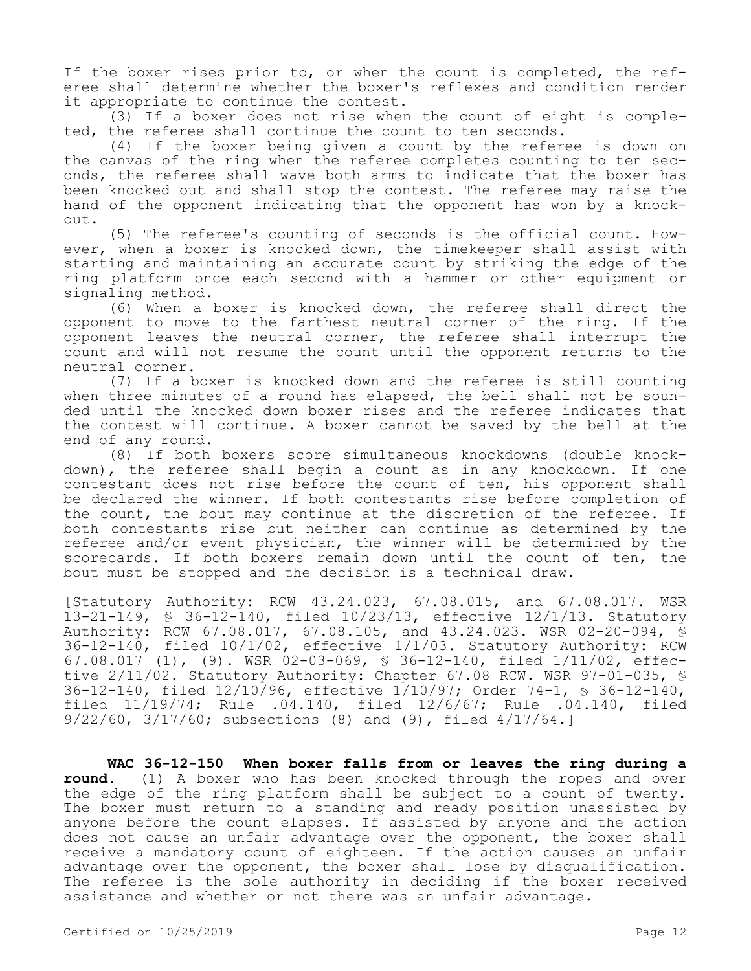If the boxer rises prior to, or when the count is completed, the referee shall determine whether the boxer's reflexes and condition render it appropriate to continue the contest.

(3) If a boxer does not rise when the count of eight is completed, the referee shall continue the count to ten seconds.

(4) If the boxer being given a count by the referee is down on the canvas of the ring when the referee completes counting to ten seconds, the referee shall wave both arms to indicate that the boxer has been knocked out and shall stop the contest. The referee may raise the hand of the opponent indicating that the opponent has won by a knockout.

(5) The referee's counting of seconds is the official count. However, when a boxer is knocked down, the timekeeper shall assist with starting and maintaining an accurate count by striking the edge of the ring platform once each second with a hammer or other equipment or signaling method.

(6) When a boxer is knocked down, the referee shall direct the opponent to move to the farthest neutral corner of the ring. If the opponent leaves the neutral corner, the referee shall interrupt the count and will not resume the count until the opponent returns to the neutral corner.

(7) If a boxer is knocked down and the referee is still counting when three minutes of a round has elapsed, the bell shall not be sounded until the knocked down boxer rises and the referee indicates that the contest will continue. A boxer cannot be saved by the bell at the end of any round.

(8) If both boxers score simultaneous knockdowns (double knockdown), the referee shall begin a count as in any knockdown. If one contestant does not rise before the count of ten, his opponent shall be declared the winner. If both contestants rise before completion of the count, the bout may continue at the discretion of the referee. If both contestants rise but neither can continue as determined by the referee and/or event physician, the winner will be determined by the scorecards. If both boxers remain down until the count of ten, the bout must be stopped and the decision is a technical draw.

[Statutory Authority: RCW 43.24.023, 67.08.015, and 67.08.017. WSR 13-21-149, § 36-12-140, filed 10/23/13, effective 12/1/13. Statutory Authority: RCW 67.08.017, 67.08.105, and 43.24.023. WSR 02-20-094, § 36-12-140, filed 10/1/02, effective 1/1/03. Statutory Authority: RCW 67.08.017 (1), (9). WSR 02-03-069, § 36-12-140, filed 1/11/02, effective 2/11/02. Statutory Authority: Chapter 67.08 RCW. WSR 97-01-035, § 36-12-140, filed 12/10/96, effective 1/10/97; Order 74-1, § 36-12-140, filed 11/19/74; Rule .04.140, filed 12/6/67; Rule .04.140, filed 9/22/60, 3/17/60; subsections (8) and (9), filed 4/17/64.]

**WAC 36-12-150 When boxer falls from or leaves the ring during a round.** (1) A boxer who has been knocked through the ropes and over the edge of the ring platform shall be subject to a count of twenty. The boxer must return to a standing and ready position unassisted by anyone before the count elapses. If assisted by anyone and the action does not cause an unfair advantage over the opponent, the boxer shall receive a mandatory count of eighteen. If the action causes an unfair advantage over the opponent, the boxer shall lose by disqualification. The referee is the sole authority in deciding if the boxer received assistance and whether or not there was an unfair advantage.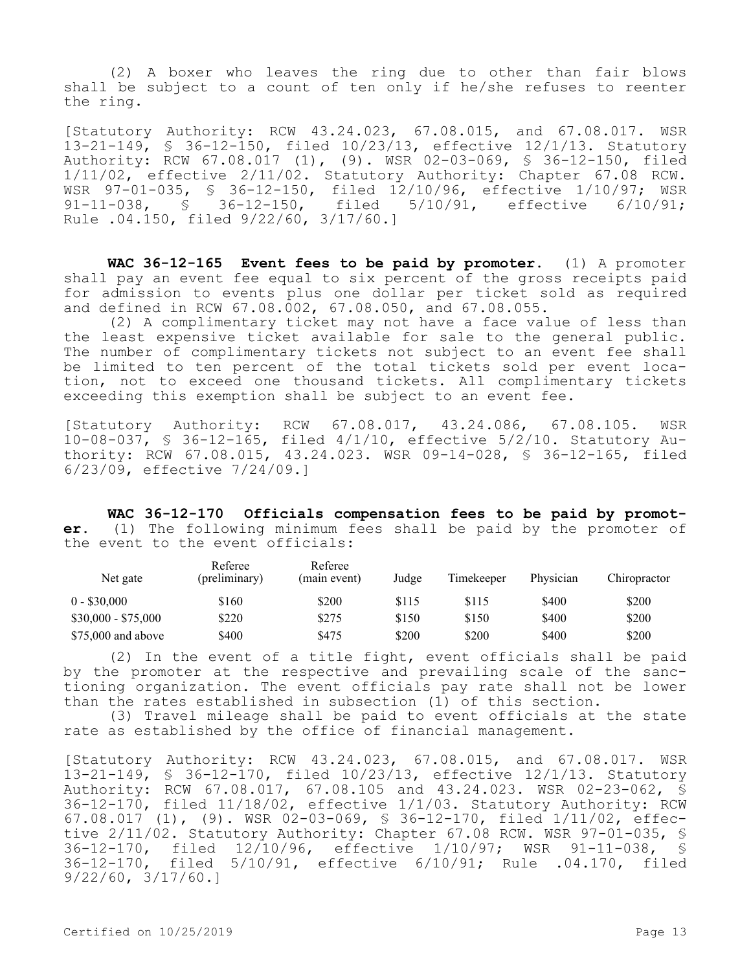(2) A boxer who leaves the ring due to other than fair blows shall be subject to a count of ten only if he/she refuses to reenter the ring.

[Statutory Authority: RCW 43.24.023, 67.08.015, and 67.08.017. WSR 13-21-149, § 36-12-150, filed 10/23/13, effective 12/1/13. Statutory Authority: RCW 67.08.017 (1), (9). WSR 02-03-069, § 36-12-150, filed 1/11/02, effective 2/11/02. Statutory Authority: Chapter 67.08 RCW. WSR 97-01-035, § 36-12-150, filed 12/10/96, effective 1/10/97; WSR 91-11-038, § 36-12-150, filed 5/10/91, effective 6/10/91; Rule .04.150, filed 9/22/60, 3/17/60.]

**WAC 36-12-165 Event fees to be paid by promoter.** (1) A promoter shall pay an event fee equal to six percent of the gross receipts paid for admission to events plus one dollar per ticket sold as required and defined in RCW 67.08.002, 67.08.050, and 67.08.055.

(2) A complimentary ticket may not have a face value of less than the least expensive ticket available for sale to the general public. The number of complimentary tickets not subject to an event fee shall be limited to ten percent of the total tickets sold per event location, not to exceed one thousand tickets. All complimentary tickets exceeding this exemption shall be subject to an event fee.

[Statutory Authority: RCW 67.08.017, 43.24.086, 67.08.105. WSR 10-08-037, § 36-12-165, filed 4/1/10, effective 5/2/10. Statutory Authority: RCW 67.08.015, 43.24.023. WSR 09-14-028, § 36-12-165, filed 6/23/09, effective 7/24/09.]

**WAC 36-12-170 Officials compensation fees to be paid by promoter.** (1) The following minimum fees shall be paid by the promoter of the event to the event officials:

| Net gate            | Referee<br>(preliminary) | Referee<br>(main event) | Judge | Timekeeper | Physician | Chiropractor |
|---------------------|--------------------------|-------------------------|-------|------------|-----------|--------------|
| $0 - $30,000$       | \$160                    | \$200                   | \$115 | \$115      | \$400     | \$200        |
| $$30,000 - $75,000$ | \$220                    | \$275                   | \$150 | \$150      | \$400     | \$200        |
| $$75,000$ and above | \$400                    | \$475                   | \$200 | \$200      | \$400     | \$200        |

(2) In the event of a title fight, event officials shall be paid by the promoter at the respective and prevailing scale of the sanctioning organization. The event officials pay rate shall not be lower than the rates established in subsection (1) of this section.

(3) Travel mileage shall be paid to event officials at the state rate as established by the office of financial management.

[Statutory Authority: RCW 43.24.023, 67.08.015, and 67.08.017. WSR 13-21-149, § 36-12-170, filed 10/23/13, effective 12/1/13. Statutory Authority: RCW 67.08.017, 67.08.105 and 43.24.023. WSR 02-23-062, § 36-12-170, filed 11/18/02, effective 1/1/03. Statutory Authority: RCW 67.08.017 (1), (9). WSR 02-03-069, § 36-12-170, filed 1/11/02, effective 2/11/02. Statutory Authority: Chapter 67.08 RCW. WSR 97-01-035, \$<br>36-12-170. filed 12/10/96. effective 1/10/97: WSR 91-11-038. \$ 36-12-170, filed 12/10/96, effective 1/10/97; WSR 91-11-038, 36-12-170, filed 5/10/91, effective 6/10/91; Rule .04.170, filed 9/22/60, 3/17/60.]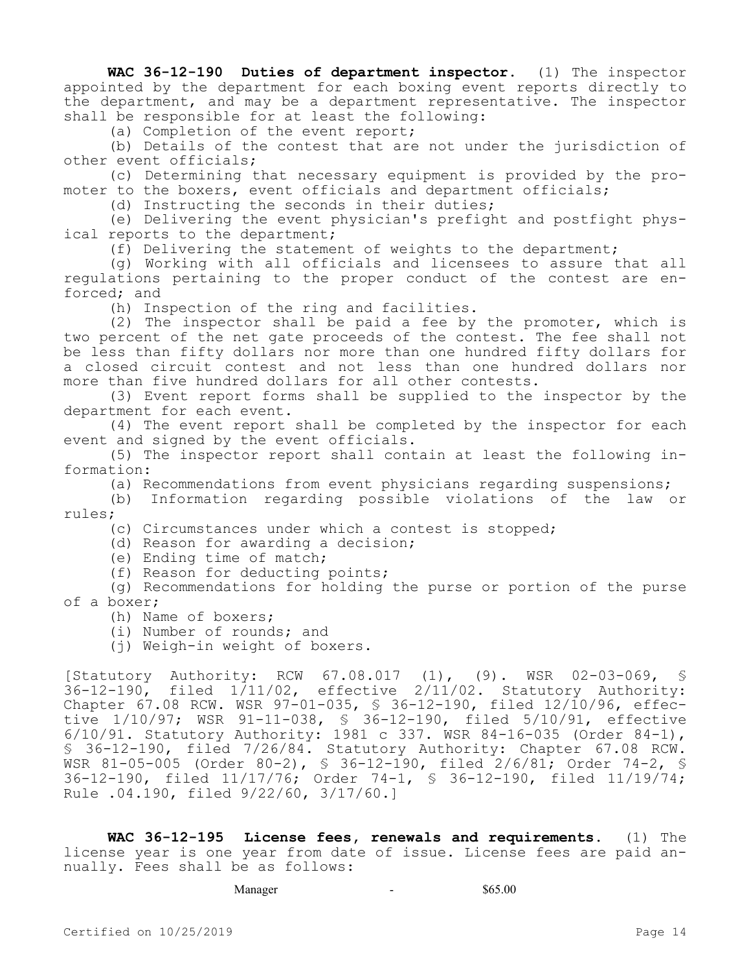**WAC 36-12-190 Duties of department inspector.** (1) The inspector appointed by the department for each boxing event reports directly to the department, and may be a department representative. The inspector shall be responsible for at least the following:

(a) Completion of the event report;

(b) Details of the contest that are not under the jurisdiction of other event officials;

(c) Determining that necessary equipment is provided by the promoter to the boxers, event officials and department officials;

(d) Instructing the seconds in their duties;

(e) Delivering the event physician's prefight and postfight physical reports to the department;

(f) Delivering the statement of weights to the department;

(g) Working with all officials and licensees to assure that all regulations pertaining to the proper conduct of the contest are enforced; and

(h) Inspection of the ring and facilities.

(2) The inspector shall be paid a fee by the promoter, which is two percent of the net gate proceeds of the contest. The fee shall not be less than fifty dollars nor more than one hundred fifty dollars for a closed circuit contest and not less than one hundred dollars nor more than five hundred dollars for all other contests.

(3) Event report forms shall be supplied to the inspector by the department for each event.

(4) The event report shall be completed by the inspector for each event and signed by the event officials.

(5) The inspector report shall contain at least the following information:

(a) Recommendations from event physicians regarding suspensions;

(b) Information regarding possible violations of the law or rules;

(c) Circumstances under which a contest is stopped;

(d) Reason for awarding a decision;

(e) Ending time of match;

(f) Reason for deducting points;

(g) Recommendations for holding the purse or portion of the purse of a boxer;

(h) Name of boxers;

(i) Number of rounds; and

(j) Weigh-in weight of boxers.

[Statutory Authority: RCW 67.08.017 (1), (9). WSR 02-03-069, § 36-12-190, filed 1/11/02, effective 2/11/02. Statutory Authority: Chapter 67.08 RCW. WSR 97-01-035, § 36-12-190, filed 12/10/96, effective 1/10/97; WSR 91-11-038, § 36-12-190, filed 5/10/91, effective 6/10/91. Statutory Authority: 1981 c 337. WSR 84-16-035 (Order 84-1), § 36-12-190, filed 7/26/84. Statutory Authority: Chapter 67.08 RCW. WSR 81-05-005 (Order 80-2), § 36-12-190, filed 2/6/81; Order 74-2, § 36-12-190, filed 11/17/76; Order 74-1, § 36-12-190, filed 11/19/74; Rule .04.190, filed 9/22/60, 3/17/60.]

**WAC 36-12-195 License fees, renewals and requirements.** (1) The license year is one year from date of issue. License fees are paid annually. Fees shall be as follows:

Manager 565.00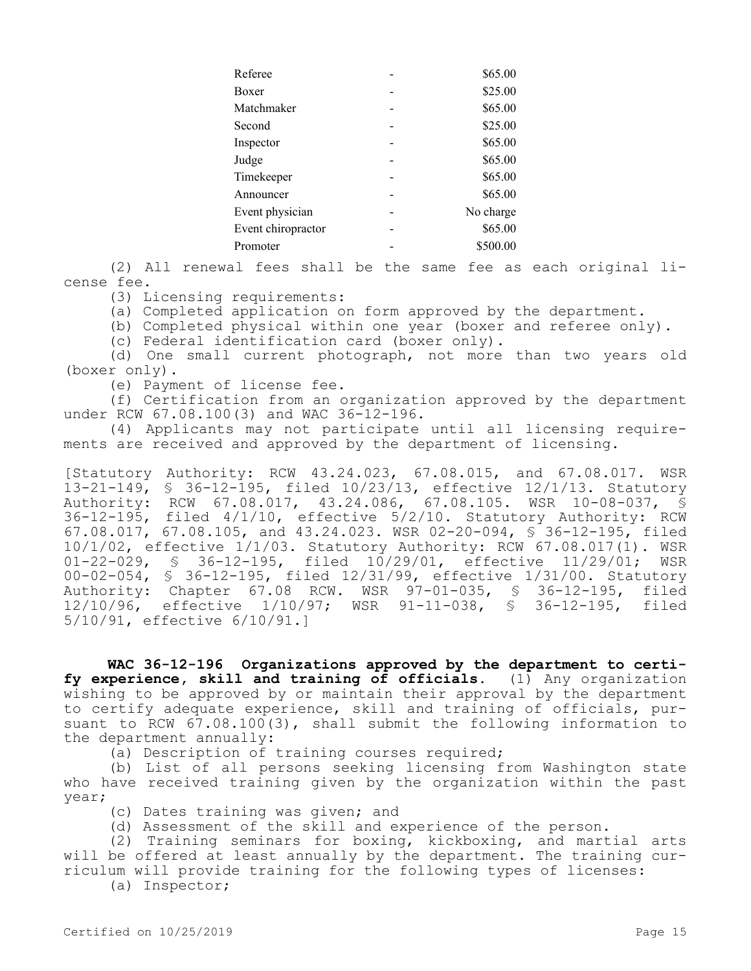| Referee            | \$65.00   |
|--------------------|-----------|
| Boxer              | \$25.00   |
| Matchmaker         | \$65.00   |
| Second             | \$25.00   |
| Inspector          | \$65.00   |
| Judge              | \$65.00   |
| Timekeeper         | \$65.00   |
| Announcer          | \$65.00   |
| Event physician    | No charge |
| Event chiropractor | \$65.00   |
| Promoter           | \$500.00  |
|                    |           |

(2) All renewal fees shall be the same fee as each original license fee.

(3) Licensing requirements:

(a) Completed application on form approved by the department.

(b) Completed physical within one year (boxer and referee only).

(c) Federal identification card (boxer only).

(d) One small current photograph, not more than two years old (boxer only).

(e) Payment of license fee.

(f) Certification from an organization approved by the department under RCW 67.08.100(3) and WAC 36-12-196.

(4) Applicants may not participate until all licensing requirements are received and approved by the department of licensing.

[Statutory Authority: RCW 43.24.023, 67.08.015, and 67.08.017. WSR 13-21-149, § 36-12-195, filed 10/23/13, effective 12/1/13. Statutory Authority: RCW 67.08.017, 43.24.086, 67.08.105. WSR 10-08-037, § 36-12-195, filed 4/1/10, effective 5/2/10. Statutory Authority: RCW 67.08.017, 67.08.105, and 43.24.023. WSR 02-20-094, § 36-12-195, filed 10/1/02, effective 1/1/03. Statutory Authority: RCW 67.08.017(1). WSR 01-22-029, § 36-12-195, filed 10/29/01, effective 11/29/01; WSR 00-02-054, § 36-12-195, filed 12/31/99, effective 1/31/00. Statutory Authority: Chapter 67.08 RCW. WSR 97-01-035, § 36-12-195, filed<br>12/10/96, effective 1/10/97: WSR 91-11-038, § 36-12-195, filed 12/10/96, effective 1/10/97; WSR 91-11-038, § 36-12-195, 5/10/91, effective 6/10/91.]

**WAC 36-12-196 Organizations approved by the department to certify experience, skill and training of officials.** (1) Any organization wishing to be approved by or maintain their approval by the department to certify adequate experience, skill and training of officials, pursuant to RCW 67.08.100(3), shall submit the following information to the department annually:

(a) Description of training courses required;

(b) List of all persons seeking licensing from Washington state who have received training given by the organization within the past year;

- (c) Dates training was given; and
- (d) Assessment of the skill and experience of the person.

(2) Training seminars for boxing, kickboxing, and martial arts will be offered at least annually by the department. The training curriculum will provide training for the following types of licenses:

(a) Inspector;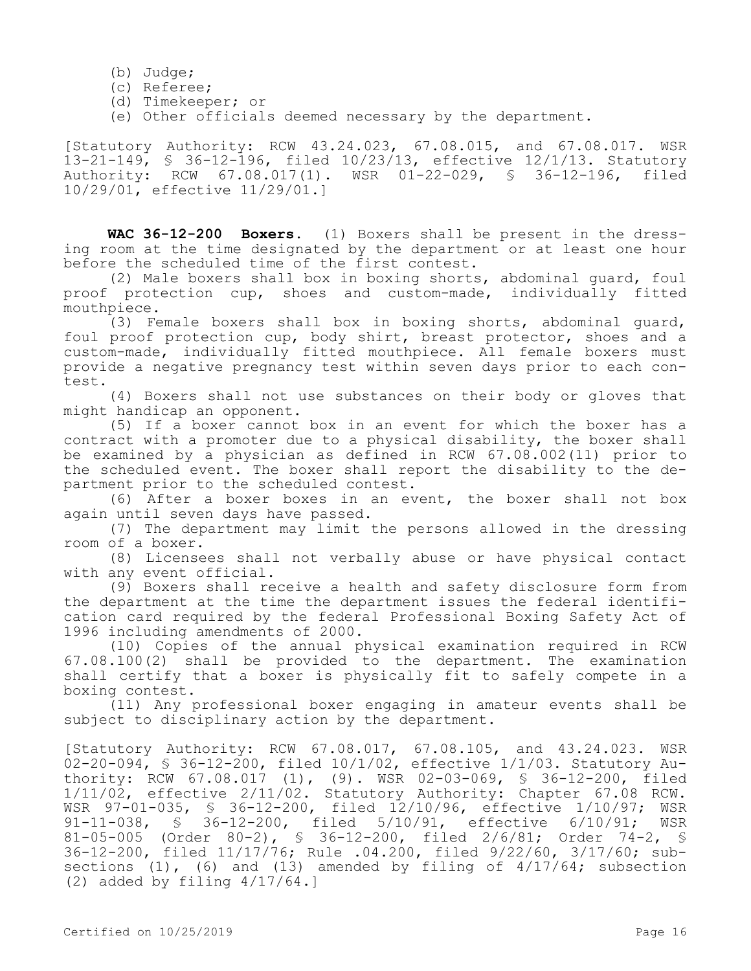- (b) Judge;
- (c) Referee;
- (d) Timekeeper; or
- (e) Other officials deemed necessary by the department.

[Statutory Authority: RCW 43.24.023, 67.08.015, and 67.08.017. WSR 13-21-149, § 36-12-196, filed 10/23/13, effective 12/1/13. Statutory<br>Authority: RCW 67.08.017(1). WSR 01-22-029, § 36-12-196, filed RCW 67.08.017(1). WSR 01-22-029, § 36-12-196, filed 10/29/01, effective 11/29/01.]

**WAC 36-12-200 Boxers.** (1) Boxers shall be present in the dressing room at the time designated by the department or at least one hour before the scheduled time of the first contest.

(2) Male boxers shall box in boxing shorts, abdominal guard, foul proof protection cup, shoes and custom-made, individually fitted mouthpiece.

(3) Female boxers shall box in boxing shorts, abdominal guard, foul proof protection cup, body shirt, breast protector, shoes and a custom-made, individually fitted mouthpiece. All female boxers must provide a negative pregnancy test within seven days prior to each contest.

(4) Boxers shall not use substances on their body or gloves that might handicap an opponent.

(5) If a boxer cannot box in an event for which the boxer has a contract with a promoter due to a physical disability, the boxer shall be examined by a physician as defined in RCW 67.08.002(11) prior to the scheduled event. The boxer shall report the disability to the department prior to the scheduled contest.

(6) After a boxer boxes in an event, the boxer shall not box again until seven days have passed.

(7) The department may limit the persons allowed in the dressing room of a boxer.

(8) Licensees shall not verbally abuse or have physical contact with any event official.

(9) Boxers shall receive a health and safety disclosure form from the department at the time the department issues the federal identification card required by the federal Professional Boxing Safety Act of 1996 including amendments of 2000.

(10) Copies of the annual physical examination required in RCW 67.08.100(2) shall be provided to the department. The examination shall certify that a boxer is physically fit to safely compete in a boxing contest.

(11) Any professional boxer engaging in amateur events shall be subject to disciplinary action by the department.

[Statutory Authority: RCW 67.08.017, 67.08.105, and 43.24.023. WSR  $02-20-094$ , § 36-12-200, filed 10/1/02, effective 1/1/03. Statutory Authority: RCW 67.08.017 (1), (9). WSR 02-03-069, § 36-12-200, filed 1/11/02, effective 2/11/02. Statutory Authority: Chapter 67.08 RCW. WSR 97-01-035, § 36-12-200, filed 12/10/96, effective 1/10/97; WSR<br>91-11-038, § 36-12-200, filed 5/10/91, effective 6/10/91; WSR 36-12-200, filed 5/10/91, effective 6/10/91; WSR 81-05-005 (Order 80-2), § 36-12-200, filed 2/6/81; Order 74-2, § 36-12-200, filed 11/17/76; Rule .04.200, filed 9/22/60, 3/17/60; subsections  $(1)$ ,  $(6)$  and  $(13)$  amended by filing of  $4/17/64$ ; subsection (2) added by filing 4/17/64.]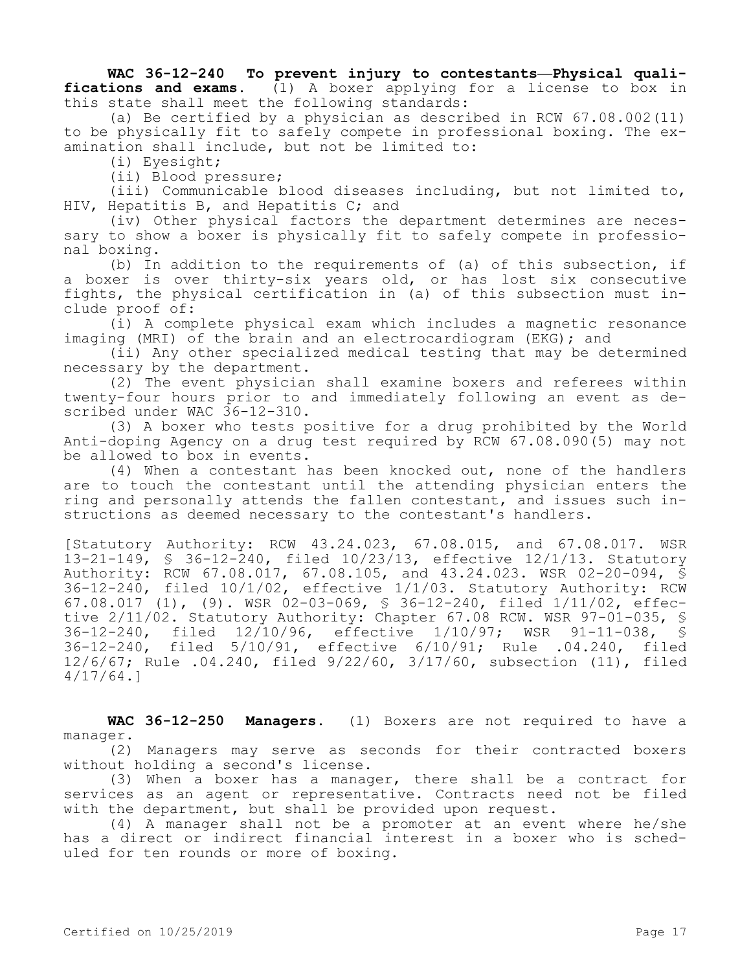## **WAC 36-12-240 To prevent injury to contestants—Physical qualifications and exams.** (1) A boxer applying for a license to box in this state shall meet the following standards:

(a) Be certified by a physician as described in RCW 67.08.002(11) to be physically fit to safely compete in professional boxing. The examination shall include, but not be limited to:

(i) Eyesight;

(ii) Blood pressure;

(iii) Communicable blood diseases including, but not limited to, HIV, Hepatitis B, and Hepatitis C; and

(iv) Other physical factors the department determines are necessary to show a boxer is physically fit to safely compete in professional boxing.

(b) In addition to the requirements of (a) of this subsection, if a boxer is over thirty-six years old, or has lost six consecutive fights, the physical certification in (a) of this subsection must include proof of:

(i) A complete physical exam which includes a magnetic resonance imaging (MRI) of the brain and an electrocardiogram (EKG); and

(ii) Any other specialized medical testing that may be determined necessary by the department.

(2) The event physician shall examine boxers and referees within twenty-four hours prior to and immediately following an event as described under WAC 36-12-310.

(3) A boxer who tests positive for a drug prohibited by the World Anti-doping Agency on a drug test required by RCW 67.08.090(5) may not be allowed to box in events.

(4) When a contestant has been knocked out, none of the handlers are to touch the contestant until the attending physician enters the ring and personally attends the fallen contestant, and issues such instructions as deemed necessary to the contestant's handlers.

[Statutory Authority: RCW 43.24.023, 67.08.015, and 67.08.017. WSR 13-21-149, § 36-12-240, filed 10/23/13, effective 12/1/13. Statutory Authority: RCW 67.08.017, 67.08.105, and 43.24.023. WSR 02-20-094, § 36-12-240, filed 10/1/02, effective 1/1/03. Statutory Authority: RCW 67.08.017 (1), (9). WSR 02-03-069, § 36-12-240, filed 1/11/02, effective 2/11/02. Statutory Authority: Chapter 67.08 RCW. WSR 97-01-035, \$<br>36-12-240, filed 12/10/96, effective 1/10/97; WSR 91-11-038, \$ 36-12-240, filed 12/10/96, effective 1/10/97; WSR 91-11-038, § 36-12-240, filed 5/10/91, effective 6/10/91; Rule .04.240, filed 12/6/67; Rule .04.240, filed 9/22/60, 3/17/60, subsection (11), filed 4/17/64.]

**WAC 36-12-250 Managers.** (1) Boxers are not required to have a manager.

(2) Managers may serve as seconds for their contracted boxers without holding a second's license.

(3) When a boxer has a manager, there shall be a contract for services as an agent or representative. Contracts need not be filed with the department, but shall be provided upon request.

(4) A manager shall not be a promoter at an event where he/she has a direct or indirect financial interest in a boxer who is scheduled for ten rounds or more of boxing.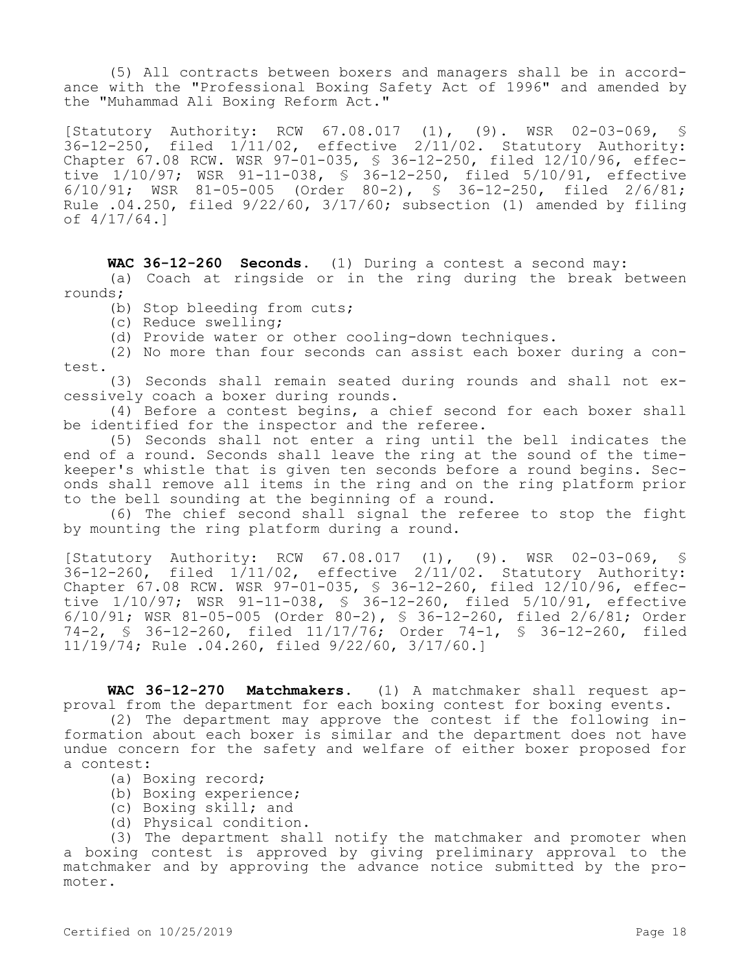(5) All contracts between boxers and managers shall be in accordance with the "Professional Boxing Safety Act of 1996" and amended by the "Muhammad Ali Boxing Reform Act."

[Statutory Authority: RCW 67.08.017 (1), (9). WSR 02-03-069, §  $36-12-250$ , filed  $1/11/02$ , effective  $2/11/02$ . Statutory Authority: Chapter 67.08 RCW. WSR 97-01-035, § 36-12-250, filed 12/10/96, effective 1/10/97; WSR 91-11-038, § 36-12-250, filed 5/10/91, effective 6/10/91; WSR 81-05-005 (Order 80-2), § 36-12-250, filed 2/6/81; Rule .04.250, filed 9/22/60, 3/17/60; subsection (1) amended by filing of 4/17/64.]

**WAC 36-12-260 Seconds.** (1) During a contest a second may: (a) Coach at ringside or in the ring during the break between rounds;

(b) Stop bleeding from cuts;

(c) Reduce swelling;

(d) Provide water or other cooling-down techniques.

(2) No more than four seconds can assist each boxer during a contest.

(3) Seconds shall remain seated during rounds and shall not excessively coach a boxer during rounds.

(4) Before a contest begins, a chief second for each boxer shall be identified for the inspector and the referee.

(5) Seconds shall not enter a ring until the bell indicates the end of a round. Seconds shall leave the ring at the sound of the timekeeper's whistle that is given ten seconds before a round begins. Seconds shall remove all items in the ring and on the ring platform prior to the bell sounding at the beginning of a round.

(6) The chief second shall signal the referee to stop the fight by mounting the ring platform during a round.

[Statutory Authority: RCW 67.08.017 (1), (9). WSR 02-03-069, §  $36-12-260$ , filed  $1/11/02$ , effective  $2/11/02$ . Statutory Authority: Chapter 67.08 RCW. WSR 97-01-035, § 36-12-260, filed 12/10/96, effective 1/10/97; WSR 91-11-038, § 36-12-260, filed 5/10/91, effective 6/10/91; WSR 81-05-005 (Order 80-2), § 36-12-260, filed 2/6/81; Order 74-2, § 36-12-260, filed 11/17/76; Order 74-1, § 36-12-260, filed 11/19/74; Rule .04.260, filed 9/22/60, 3/17/60.]

**WAC 36-12-270 Matchmakers.** (1) A matchmaker shall request approval from the department for each boxing contest for boxing events.

(2) The department may approve the contest if the following information about each boxer is similar and the department does not have undue concern for the safety and welfare of either boxer proposed for a contest:

- (a) Boxing record;
- (b) Boxing experience;
- (c) Boxing skill; and
- (d) Physical condition.

(3) The department shall notify the matchmaker and promoter when a boxing contest is approved by giving preliminary approval to the matchmaker and by approving the advance notice submitted by the promoter.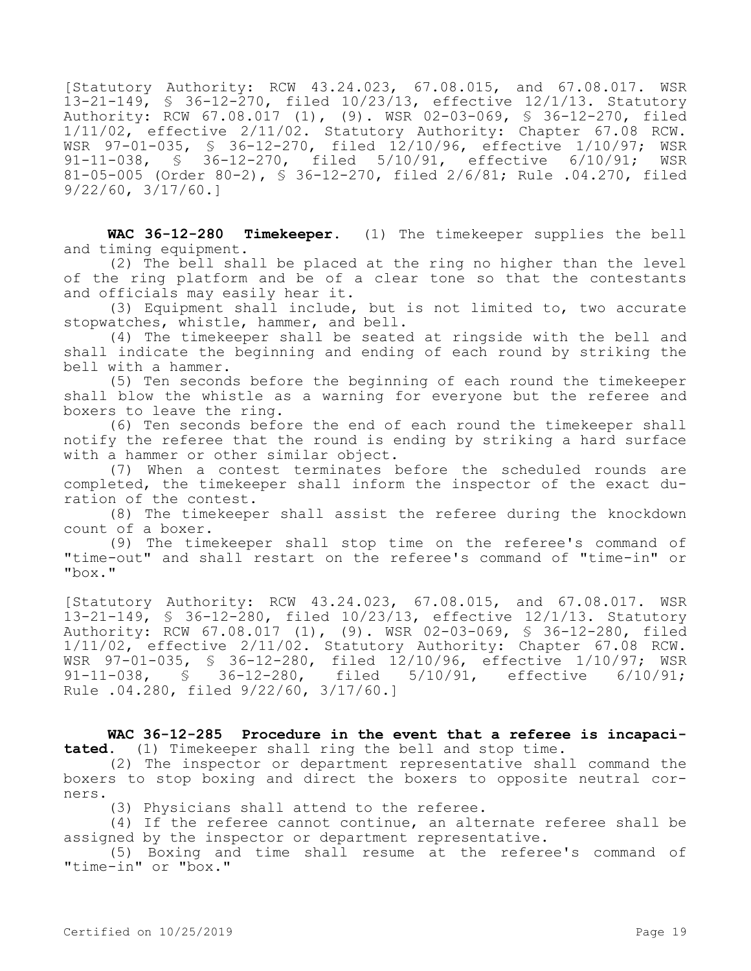[Statutory Authority: RCW 43.24.023, 67.08.015, and 67.08.017. WSR 13-21-149, § 36-12-270, filed 10/23/13, effective 12/1/13. Statutory Authority: RCW 67.08.017 (1), (9). WSR 02-03-069, § 36-12-270, filed 1/11/02, effective 2/11/02. Statutory Authority: Chapter 67.08 RCW. WSR 97-01-035, § 36-12-270, filed 12/10/96, effective 1/10/97; WSR<br>91-11-038, § 36-12-270, filed 5/10/91, effective 6/10/91: WSR 91-11-038, § 36-12-270, filed 5/10/91, effective 6/10/91; 81-05-005 (Order 80-2), § 36-12-270, filed 2/6/81; Rule .04.270, filed 9/22/60, 3/17/60.]

**WAC 36-12-280 Timekeeper.** (1) The timekeeper supplies the bell and timing equipment.

(2) The bell shall be placed at the ring no higher than the level of the ring platform and be of a clear tone so that the contestants and officials may easily hear it.

(3) Equipment shall include, but is not limited to, two accurate stopwatches, whistle, hammer, and bell.

(4) The timekeeper shall be seated at ringside with the bell and shall indicate the beginning and ending of each round by striking the bell with a hammer.

(5) Ten seconds before the beginning of each round the timekeeper shall blow the whistle as a warning for everyone but the referee and boxers to leave the ring.

(6) Ten seconds before the end of each round the timekeeper shall notify the referee that the round is ending by striking a hard surface with a hammer or other similar object.

(7) When a contest terminates before the scheduled rounds are completed, the timekeeper shall inform the inspector of the exact duration of the contest.

(8) The timekeeper shall assist the referee during the knockdown count of a boxer.

(9) The timekeeper shall stop time on the referee's command of "time-out" and shall restart on the referee's command of "time-in" or "box."

[Statutory Authority: RCW 43.24.023, 67.08.015, and 67.08.017. WSR 13-21-149, § 36-12-280, filed 10/23/13, effective 12/1/13. Statutory Authority: RCW 67.08.017 (1), (9). WSR 02-03-069, § 36-12-280, filed 1/11/02, effective 2/11/02. Statutory Authority: Chapter 67.08 RCW. WSR 97-01-035, § 36-12-280, filed 12/10/96, effective 1/10/97; WSR 91-11-038, § 36-12-280, filed 5/10/91, effective 6/10/91; Rule .04.280, filed 9/22/60, 3/17/60.]

**WAC 36-12-285 Procedure in the event that a referee is incapacitated.** (1) Timekeeper shall ring the bell and stop time.

(2) The inspector or department representative shall command the boxers to stop boxing and direct the boxers to opposite neutral corners.

(3) Physicians shall attend to the referee.

(4) If the referee cannot continue, an alternate referee shall be assigned by the inspector or department representative.

(5) Boxing and time shall resume at the referee's command of "time-in" or "box."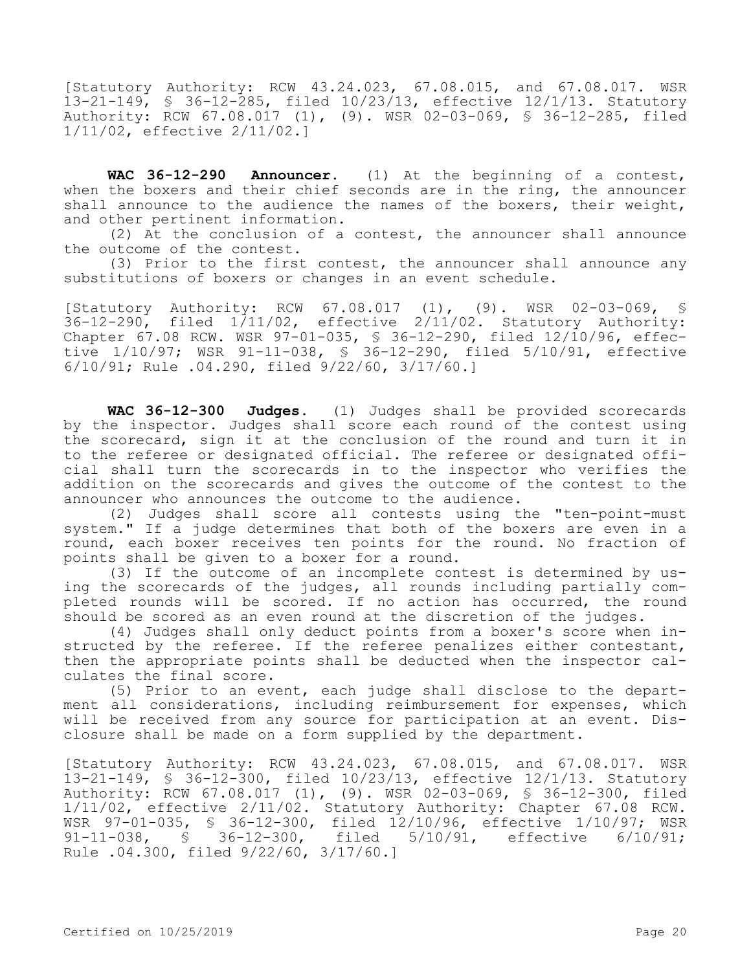[Statutory Authority: RCW 43.24.023, 67.08.015, and 67.08.017. WSR 13-21-149, § 36-12-285, filed 10/23/13, effective 12/1/13. Statutory Authority: RCW 67.08.017 (1), (9). WSR 02-03-069, § 36-12-285, filed 1/11/02, effective 2/11/02.]

**WAC 36-12-290 Announcer.** (1) At the beginning of a contest, when the boxers and their chief seconds are in the ring, the announcer shall announce to the audience the names of the boxers, their weight, and other pertinent information.

(2) At the conclusion of a contest, the announcer shall announce the outcome of the contest.

(3) Prior to the first contest, the announcer shall announce any substitutions of boxers or changes in an event schedule.

[Statutory Authority: RCW 67.08.017 (1), (9). WSR 02-03-069, §  $36-12-290$ , filed  $1/11/02$ , effective  $2/11/02$ . Statutory Authority: Chapter 67.08 RCW. WSR 97-01-035, § 36-12-290, filed 12/10/96, effective 1/10/97; WSR 91-11-038, § 36-12-290, filed 5/10/91, effective 6/10/91; Rule .04.290, filed 9/22/60, 3/17/60.]

**WAC 36-12-300 Judges.** (1) Judges shall be provided scorecards by the inspector. Judges shall score each round of the contest using the scorecard, sign it at the conclusion of the round and turn it in to the referee or designated official. The referee or designated official shall turn the scorecards in to the inspector who verifies the addition on the scorecards and gives the outcome of the contest to the announcer who announces the outcome to the audience.

(2) Judges shall score all contests using the "ten-point-must system." If a judge determines that both of the boxers are even in a round, each boxer receives ten points for the round. No fraction of points shall be given to a boxer for a round.

(3) If the outcome of an incomplete contest is determined by using the scorecards of the judges, all rounds including partially completed rounds will be scored. If no action has occurred, the round should be scored as an even round at the discretion of the judges.

(4) Judges shall only deduct points from a boxer's score when instructed by the referee. If the referee penalizes either contestant, then the appropriate points shall be deducted when the inspector calculates the final score.

(5) Prior to an event, each judge shall disclose to the department all considerations, including reimbursement for expenses, which will be received from any source for participation at an event. Disclosure shall be made on a form supplied by the department.

[Statutory Authority: RCW 43.24.023, 67.08.015, and 67.08.017. WSR 13-21-149, § 36-12-300, filed 10/23/13, effective 12/1/13. Statutory Authority: RCW 67.08.017 (1), (9). WSR 02-03-069, § 36-12-300, filed 1/11/02, effective 2/11/02. Statutory Authority: Chapter 67.08 RCW. WSR 97-01-035, § 36-12-300, filed 12/10/96, effective 1/10/97; WSR 91-11-038, § 36-12-300, filed 5/10/91, effective 6/10/91; Rule .04.300, filed 9/22/60, 3/17/60.]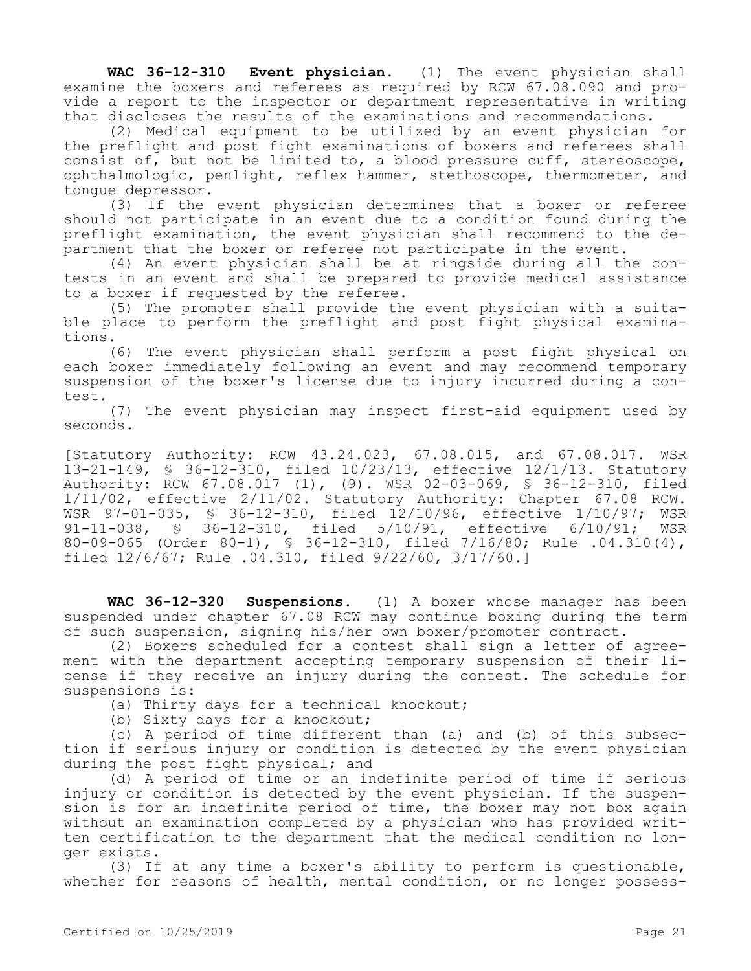**WAC 36-12-310 Event physician.** (1) The event physician shall examine the boxers and referees as required by RCW 67.08.090 and provide a report to the inspector or department representative in writing that discloses the results of the examinations and recommendations.

(2) Medical equipment to be utilized by an event physician for the preflight and post fight examinations of boxers and referees shall consist of, but not be limited to, a blood pressure cuff, stereoscope, ophthalmologic, penlight, reflex hammer, stethoscope, thermometer, and tongue depressor.

(3) If the event physician determines that a boxer or referee should not participate in an event due to a condition found during the preflight examination, the event physician shall recommend to the department that the boxer or referee not participate in the event.

(4) An event physician shall be at ringside during all the contests in an event and shall be prepared to provide medical assistance to a boxer if requested by the referee.

(5) The promoter shall provide the event physician with a suitable place to perform the preflight and post fight physical examinations.

(6) The event physician shall perform a post fight physical on each boxer immediately following an event and may recommend temporary suspension of the boxer's license due to injury incurred during a contest.

(7) The event physician may inspect first-aid equipment used by seconds.

[Statutory Authority: RCW 43.24.023, 67.08.015, and 67.08.017. WSR 13-21-149, § 36-12-310, filed 10/23/13, effective 12/1/13. Statutory Authority: RCW 67.08.017 (1), (9). WSR 02-03-069, § 36-12-310, filed 1/11/02, effective 2/11/02. Statutory Authority: Chapter 67.08 RCW. WSR 97-01-035, § 36-12-310, filed 12/10/96, effective 1/10/97; WSR 91-11-038, § 36-12-310, filed 5/10/91, effective 6/10/91; WSR 80-09-065 (Order 80-1), § 36-12-310, filed 7/16/80; Rule .04.310(4), filed 12/6/67; Rule .04.310, filed 9/22/60, 3/17/60.]

**WAC 36-12-320 Suspensions.** (1) A boxer whose manager has been suspended under chapter 67.08 RCW may continue boxing during the term of such suspension, signing his/her own boxer/promoter contract.

(2) Boxers scheduled for a contest shall sign a letter of agreement with the department accepting temporary suspension of their license if they receive an injury during the contest. The schedule for suspensions is:

(a) Thirty days for a technical knockout;

(b) Sixty days for a knockout;

(c) A period of time different than (a) and (b) of this subsection if serious injury or condition is detected by the event physician during the post fight physical; and

(d) A period of time or an indefinite period of time if serious injury or condition is detected by the event physician. If the suspension is for an indefinite period of time, the boxer may not box again without an examination completed by a physician who has provided written certification to the department that the medical condition no longer exists.

(3) If at any time a boxer's ability to perform is questionable, whether for reasons of health, mental condition, or no longer possess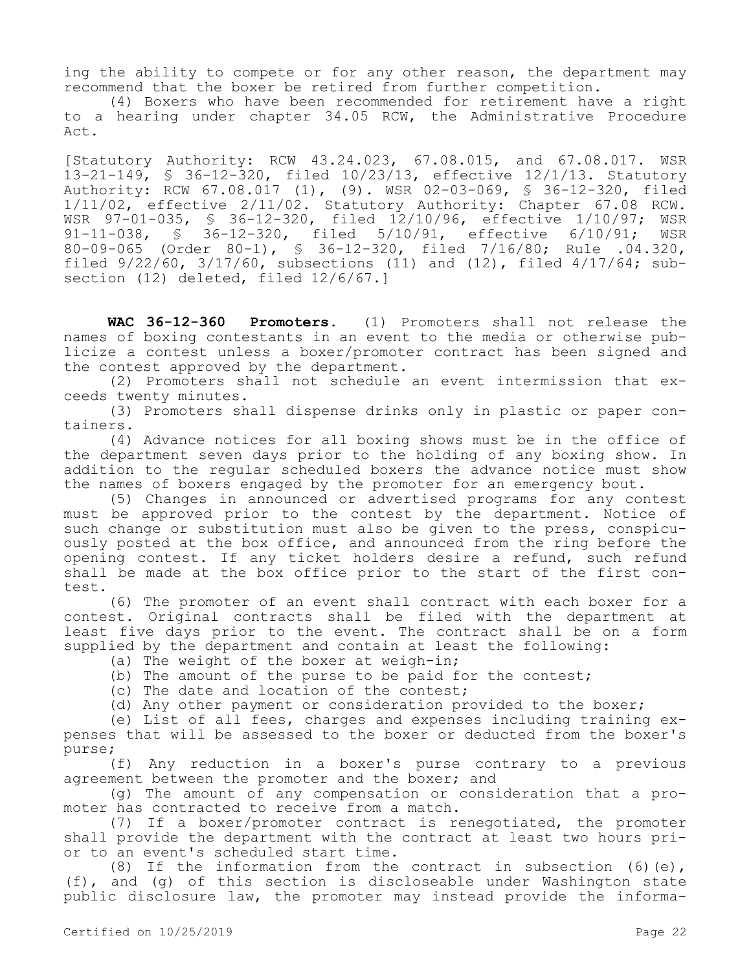ing the ability to compete or for any other reason, the department may recommend that the boxer be retired from further competition.

(4) Boxers who have been recommended for retirement have a right to a hearing under chapter 34.05 RCW, the Administrative Procedure Act.

[Statutory Authority: RCW 43.24.023, 67.08.015, and 67.08.017. WSR 13-21-149, § 36-12-320, filed 10/23/13, effective 12/1/13. Statutory Authority: RCW 67.08.017 (1), (9). WSR 02-03-069, § 36-12-320, filed 1/11/02, effective 2/11/02. Statutory Authority: Chapter 67.08 RCW. WSR 97-01-035, § 36-12-320, filed 12/10/96, effective 1/10/97; WSR 91-11-038, § 36-12-320, filed 5/10/91, effective 6/10/91; WSR 80-09-065 (Order 80-1), § 36-12-320, filed 7/16/80; Rule .04.320, filed 9/22/60, 3/17/60, subsections (11) and (12), filed 4/17/64; subsection (12) deleted, filed  $12/6/67.1$ 

**WAC 36-12-360 Promoters.** (1) Promoters shall not release the names of boxing contestants in an event to the media or otherwise publicize a contest unless a boxer/promoter contract has been signed and the contest approved by the department.

(2) Promoters shall not schedule an event intermission that exceeds twenty minutes.

(3) Promoters shall dispense drinks only in plastic or paper containers.

(4) Advance notices for all boxing shows must be in the office of the department seven days prior to the holding of any boxing show. In addition to the regular scheduled boxers the advance notice must show the names of boxers engaged by the promoter for an emergency bout.

(5) Changes in announced or advertised programs for any contest must be approved prior to the contest by the department. Notice of such change or substitution must also be given to the press, conspicuously posted at the box office, and announced from the ring before the opening contest. If any ticket holders desire a refund, such refund shall be made at the box office prior to the start of the first contest.

(6) The promoter of an event shall contract with each boxer for a contest. Original contracts shall be filed with the department at least five days prior to the event. The contract shall be on a form supplied by the department and contain at least the following:

- (a) The weight of the boxer at weigh-in;
- (b) The amount of the purse to be paid for the contest;
- (c) The date and location of the contest;
- (d) Any other payment or consideration provided to the boxer;

(e) List of all fees, charges and expenses including training expenses that will be assessed to the boxer or deducted from the boxer's purse;

(f) Any reduction in a boxer's purse contrary to a previous agreement between the promoter and the boxer; and

(g) The amount of any compensation or consideration that a promoter has contracted to receive from a match.

(7) If a boxer/promoter contract is renegotiated, the promoter shall provide the department with the contract at least two hours prior to an event's scheduled start time.

(8) If the information from the contract in subsection (6)(e), (f), and (g) of this section is discloseable under Washington state public disclosure law, the promoter may instead provide the informa